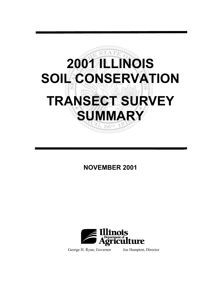

**NOVEMBER 2001**



George H. Ryan, Governor Joe Hampton, Director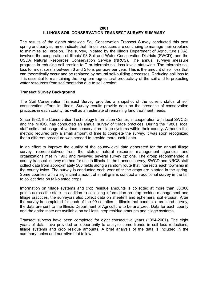#### **2001 ILLINOIS SOIL CONSERVATION TRANSECT SURVEY SUMMARY**

The results of the eighth statewide Soil Conservation Transect Survey conducted this past spring and early summer indicate that Illinois producers are continuing to manage their cropland to minimize soil erosion. The survey, initiated by the Illinois Department of Agriculture (IDA), involved the cooperation of Illinois' 98 Soil and Water Conservation Districts (SWCD), and the USDA Natural Resources Conservation Service (NRCS). The annual surveys measure progress in reducing soil erosion to T or tolerable soil loss levels statewide. The tolerable soil loss for most soils is between 3 and 5 tons per acre per year. This is the amount of soil loss that can theoretically occur and be replaced by natural soil-building processes. Reducing soil loss to T is essential to maintaining the long-term agricultural productivity of the soil and to protecting water resources from sedimentation due to soil erosion**.** 

#### **Transect Survey Background**

The Soil Conservation Transect Survey provides a snapshot of the current status of soil conservation efforts in Illinois. Survey results provide data on the presence of conservation practices in each county, as well as an estimate of remaining land treatment needs.

Since 1982, the Conservation Technology Information Center, in cooperation with local SWCDs and the NRCS, has conducted an annual survey of tillage practices. During the 1980s, local staff estimated usage of various conservation tillage systems within their county**.** Although this method required only a small amount of time to complete the survey, it was soon recognized that a different procedure was needed to provide more useful data.

In an effort to improve the quality of the county-level data generated for the annual tillage survey, representatives from the state's natural resource management agencies and organizations met in 1993 and reviewed several survey options. The group recommended a county transect- survey method for use in Illinois. In the transect survey, SWCD and NRCS staff collect data from approximately 500 fields along a random route that intersects each township in the county twice. The survey is conducted each year after the crops are planted in the spring. Some counties with a significant amount of small grains conduct an additional survey in the fall to collect data on fall-planted crops.

Information on tillage systems and crop residue amounts is collected at more than 50,000 points across the state. In addition to collecting information on crop residue management and tillage practices, the surveyors also collect data on sheet/rill and ephemeral soil erosion. After the survey is completed for each of the 99 counties in Illinois that conduct a cropland survey, the data are sent to the Illinois Department of Agriculture to be analyzed. Data for each county and the entire state are available on soil loss, crop residue amounts and tillage systems.

Transect surveys have been completed for eight consecutive years (1994-2001). The eight years of data have provided an opportunity to analyze some trends in soil loss reductions, tillage systems and crop residue amounts. A brief analysis of the data is included in the summary tables and narrative that follow.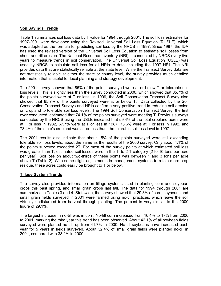### **Soil Savings Trends**

Table 1 summarizes soil loss data by T value for 1994 through 2001. The soil loss estimates for 1997-2001 were developed using the Revised Universal Soil Loss Equation (RUSLE), which was adopted as the formula for predicting soil loss by the NRCS in 1997. Since 1997, the IDA has used the revised version of the Universal Soil Loss Equation to estimate soil losses from sheet and rill erosion. The National Resource Inventory (NRI) is conducted by NRCS every five years to measure trends in soil conservation. The Universal Soil Loss Equation (USLE) was used by NRCS to calculate soil loss for all NRIs to date, including the 1997 NRI. The NRI provides data that are statistically reliable at the state level. While the Transect Survey data are not statistically reliable at either the state or county level, the survey provides much detailed information that is useful for local planning and strategy development.

The 2001 survey showed that 85% of the points surveyed were at or below T or tolerable soil loss levels. This is slightly less than the survey conducted in 2000, which showed that 85.7% of the points surveyed were at T or less. In 1999, the Soil Conservation Transect Survey also showed that 85.7% of the points surveyed were at or below T. Data collected by the Soil Conservation Transect Surveys and NRIs confirm a very positive trend in reducing soil erosion on cropland to tolerable soil loss levels. The 1994 Soil Conservation Transect Survey, the first ever conducted, estimated that 74.1% of the points surveyed were meeting T. Previous surveys conducted by the NRCS using the USLE indicated that 59.4% of the total cropland acres were at T or less in 1982, 67.7% were at T or less in 1987, 73.6% were at T or less in 1992, and 78.4% of the state's cropland was at, or less than, the tolerable soil loss level in 1997.

The 2001 results also indicate that about 15% of the points surveyed were still exceeding tolerable soil loss levels, about the same as the results of the 2000 survey. Only about 4.1% of the points surveyed exceeded 2T. For most of the survey points at which estimated soil loss was greater than T, estimated soil losses were in the 1- to 2-T category (2 to 10 tons per acre per year). Soil loss on about two-thirds of these points was between 1 and 3 tons per acre above T (Table 2). With some slight adjustments in management systems to retain more crop residue, these acres could easily be brought to T or below.

### **Tillage System Trends**

The survey also provided information on tillage systems used in planting corn and soybean crops this past spring, and small grain crops last fall. The data for 1994 through 2001 are summarized in Tables 3 and 4. Statewide, the survey showed that 29.3% of corn, soybeans and small grain fields surveyed in 2001 were farmed using no-till practices, which leave the soil virtually undisturbed from harvest through planting. The percent is very similar to the 2000 figure of 29.1%.

The largest increase in no-till was in corn. No-till corn increased from 16.4% to 17% from 2000 to 2001, marking the third year this trend has been observed. About 42.1% of all soybean fields surveyed were planted no-till, up from 41.7% in 2000. No-till soybeans have increased each year for 5 years in fields surveyed. About 32.4% of small grain fields were planted no-till in 2001, compared with 38.2% in 2000.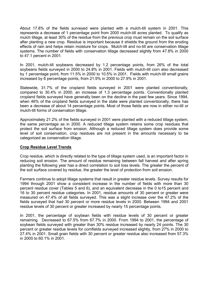About 17.8% of the fields surveyed were planted with a mulch-till system in 2001. This represents a decrease of 1 percentage point from 2000 mulch-till acres planted. To qualify as mulch tillage, at least 30% of the residue from the previous crop must remain on the soil surface after planting a new crop. Residue is important because it shields the ground from the eroding effects of rain and helps retain moisture for crops. Mulch-till and no-till are conservation tillage systems. The number of fields with conservation tillage decreased slightly from 47.8% in 2000 to 47.1 percent in 2001.

In 2001, mulch-till soybeans decreased by 1.2 percentage points, from 26% of the total soybeans fields surveyed in 2000 to 24.8% in 2001. Fields with mulch-till corn also decreased by 1 percentage point, from 11.5% in 2000 to 10.5% in 2001. Fields with mulch-till small grains increased by 6 percentage points, from 21.9% in 2000 to 27.9% in 2001.

Statewide, 31.7% of the cropland fields surveyed in 2001 were planted conventionally, compared to 30.4% in 2000, an increase of 1.3 percentage points. Conventionally planted cropland fields surveyed have generally been on the decline in the past few years. Since 1994, when 46% of the cropland fields surveyed in the state were planted conventionally, there has been a decrease of about 14 percentage points. Most of those fields are now in either no-till or mulch-till forms of conservation tillage.

Approximately 21.2% of the fields surveyed in 2001 were planted with a reduced tillage system, the same percentage as in 2000. A reduced tillage system retains some crop residues that protect the soil surface from erosion. Although a reduced tillage system does provide some level of soil conservation, crop residues are not present in the amounts necessary to be categorized as conservation tillage.

### **Crop Residue Level Trends**

Crop residue, which is directly related to the type of tillage system used, is an important factor in reducing soil erosion. The amount of residue remaining between fall harvest and after spring planting the following year has a direct correlation to soil loss levels. The greater the percent of the soil surface covered by residue, the greater the level of protection from soil erosion.

Farmers continue to adopt tillage systems that result in greater residue levels. Survey results for 1994 through 2001 show a consistent increase in the number of fields with more than 30 percent residue cover (Tables 5 and 6), and an equivalent decrease in the 0 to15 percent and 16 to 30 percent residue categories. In 2001, residue amounts of 30 percent or greater were measured on 47.4% of all fields surveyed. This was a slight increase over the 47.2% of the fields surveyed that had 30 percent or more residue levels in 2000. Between 1994 and 2001 residue levels of 30 percent or greater increased by nearly 15 percentage points.

In 2001, the percentage of soybean fields with residue levels of 30 percent or greater remaining. Decreased to 67.5% from 67.7% in 2000. From 1994 to 2001, the percentage of soybean fields surveyed with greater than 30% residue increased by nearly 24 points. The 30 percent or greater residue levels for cornfields surveyed increased slightly, from 27% in 2000 to 27.4% in 2001. Small grain fields with 30 percent or greater residue also increased from 57.3% in 2000 to 60.1% in 2001.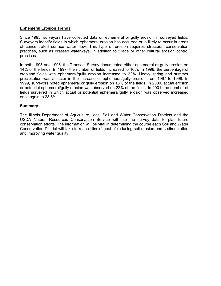### **Ephemeral Erosion Trends**

Since 1995, surveyors have collected data on ephemeral or gully erosion in surveyed fields. Surveyors identify fields in which ephemeral erosion has occurred or is likely to occur in areas of concentrated surface water flow. This type of erosion requires structural conservation practices, such as grassed waterways, in addition to tillage or other cultural erosion control practices.

In both 1995 and 1996, the Transect Survey documented either ephemeral or gully erosion on 14% of the fields. In 1997, the number of fields increased to 16%. In 1998, the percentage of cropland fields with ephemeral/gully erosion increased to 22%. Heavy spring and summer precipitation was a factor in the increase of ephemeral/gully erosion from 1997 to 1998. In 1999, surveyors noted ephemeral or gully erosion on 18% of the fields. In 2000, actual erosion or potential ephemeral/gully erosion was observed on 22% of the fields. In 2001, the number of fields surveyed in which actual or potential ephemeral/gully erosion was observed increased once again to 23.6%.

### **Summary**

The Illinois Department of Agriculture, local Soil and Water Conservation Districts and the USDA Natural Resources Conservation Service will use the survey data to plan future conservation efforts. The information will be vital in determining the course each Soil and Water Conservation District will take to reach Illinois' goal of reducing soil erosion and sedimentation and improving water quality.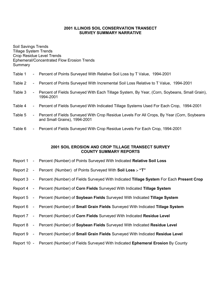#### **2001 ILLINOIS SOIL CONSERVATION TRANSECT SURVEY SUMMARY NARRATIVE**

Soil Savings Trends Tillage System Trends Crop Residue Level Trends Ephemeral/Concentrated Flow Erosion Trends Summary

#### Table 1 - Percent of Points Surveyed With Relative Soil Loss by T Value, 1994-2001

#### Table 2 - Percent of Points Surveyed With Incremental Soil Loss Relative to T Value, 1994-2001

- Table 3 Percent of Fields Surveyed With Each Tillage System, By Year, (Corn, Soybeans, Small Grain), 1994-2001
- Table 4 Percent of Fields Surveyed With Indicated Tillage Systems Used For Each Crop, 1994-2001
- Table 5 Percent of Fields Surveyed With Crop Residue Levels For All Crops, By Year (Corn, Soybeans and Small Grains), 1994-2001
- Table 6 Percent of Fields Surveyed With Crop Residue Levels For Each Crop, 1994-2001

#### **2001 SOIL EROSION AND CROP TILLAGE TRANSECT SURVEY COUNTY SUMMARY REPORTS**

- Report 1 Percent (Number) of Points Surveyed With Indicated **Relative Soil Loss**
- Report 2 Percent (Number) of Points Surveyed With **Soil Loss "T"**
- Report 3 Percent (Number) of Fields Surveyed With Indicated **Tillage System** For Each **Present Crop**
- Report 4 Percent (Number) of **Corn Fields** Surveyed With Indicated **Tillage System**
- Report 5 Percent (Number) of **Soybean Fields** Surveyed With Indicated **Tillage System**
- Report 6 Percent (Number) of **Small Grain Fields** Surveyed With Indicated **Tillage System**
- Report 7 Percent (Number) of **Corn Fields** Surveyed With Indicated **Residue Level**
- Report 8 Percent (Number) of **Soybean Fields** Surveyed With Indicated **Residue Level**
- Report 9 Percent (Number) of **Small Grain Fields** Surveyed With Indicated **Residue Level**
- Report 10 Percent (Number) of Fields Surveyed With Indicated **Ephemeral Erosion** By County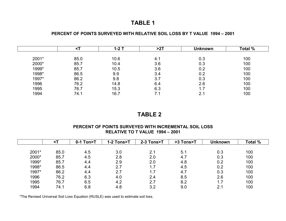#### **PERCENT OF POINTS SURVEYED WITH RELATIVE SOIL LOSS BY T VALUE 1994 – 2001**

|       |      | 1-2 T | >27 | <b>Unknown</b> | Total % |  |
|-------|------|-------|-----|----------------|---------|--|
| 2001* | 85.0 | 10.6  | 4.1 | 0.3            | 100     |  |
| 2000* | 85.7 | 10.4  | 3.6 | 0.3            | 100     |  |
| 1999* | 85.7 | 10.5  | 3.6 | 0.2            | 100     |  |
| 1998* | 86.5 | 9.9   | 3.4 | 0.2            | 100     |  |
| 1997* | 86.2 | 9.8   | 3.7 | 0.3            | 100     |  |
| 1996  | 76.2 | 14.8  | 6.4 | 2.6            | 100     |  |
| 1995  | 76.7 | 15.3  | 6.3 | 1.7            | 100     |  |
| 1994  | 74.1 | 16.7  | 7.1 | 100<br>2.1     |         |  |

## **TABLE 2**

#### **PERCENT OF POINTS SURVEYED WITH INCREMENTAL SOIL LOSS RELATIVE TO T VALUE 1994 – 2001**

|       |      | $0-1$ Ton>T | 1-2 Tons>T | 2-3 Tons>T | >3 Tons>T | <b>Unknown</b> | <b>Total %</b> |
|-------|------|-------------|------------|------------|-----------|----------------|----------------|
|       |      |             |            |            |           |                |                |
| 2001* | 85.0 | 4.5         | 3.0        | 2.1        | 5.1       | 0.3            | 100            |
| 2000* | 85.7 | 4.5         | 2.8        | 2.0        | 4.7       | 0.3            | 100            |
| 1999* | 85.7 | 4.4         | 2.9        | 2.0        | 4.8       | 0.2            | 100            |
| 1998* | 86.5 | 4.4         | 2.7        | 1.7        | 4.5       | 0.2            | 100            |
| 1997* | 86.2 | 4.4         | 2.7        | 1.7        | 4.7       | 0.3            | 100            |
| 1996  | 76.2 | 6.3         | 4.0        | 2.4        | 8.5       | 2.6            | 100            |
| 1995  | 76.7 | 6.5         | 4.2        | 2.7        | 8.2       | 1.7            | 100            |
| 1994  | 74.1 | 6.8         | 4.8        | 3.2        | 9.0       | 2.1            | 100            |

\*The Revised Universal Soil Loss Equation (RUSLE) was used to estimate soil loss.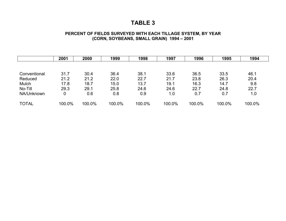### **PERCENT OF FIELDS SURVEYED WITH EACH TILLAGE SYSTEM, BY YEAR (CORN, SOYBEANS, SMALL GRAIN) 1994 – 2001**

|              | 2001   | 2000   | 1999   | 1998   | 1997   | 1996   | 1995   | 1994   |
|--------------|--------|--------|--------|--------|--------|--------|--------|--------|
|              |        |        |        |        |        |        |        |        |
| Conventional | 31.7   | 30.4   | 36.4   | 38.1   | 33.6   | 36.5   | 33.5   | 46.1   |
| Reduced      | 21.2   | 21.2   | 22.0   | 22.7   | 21.7   | 23.8   | 26.3   | 20.4   |
| Mulch        | 17.8   | 18.7   | 15.0   | 13.7   | 19.1   | 16.3   | 14.7   | 9.8    |
| No-Till      | 29.3   | 29.1   | 25.8   | 24.6   | 24.6   | 22.7   | 24.8   | 22.7   |
| NA/Unknown   | 0      | 0.6    | 0.8    | 0.9    | 1.0    | 0.7    | 0.7    | 1.0    |
| <b>TOTAL</b> | 100.0% | 100.0% | 100.0% | 100.0% | 100.0% | 100.0% | 100.0% | 100.0% |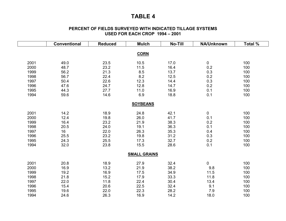#### **PERCENT OF FIELDS SURVEYED WITH INDICATED TILLAGE SYSTEMS USED FOR EACH CROP 1994 – 2001**

|      | <b>Conventional</b> | <b>Reduced</b> | <b>Mulch</b>        | No-Till | <b>NA/Unknown</b> | Total % |
|------|---------------------|----------------|---------------------|---------|-------------------|---------|
|      |                     |                |                     |         |                   |         |
|      |                     |                | <b>CORN</b>         |         |                   |         |
| 2001 | 49.0                | 23.5           | 10.5                | 17.0    | 0                 | 100     |
| 2000 | 48.7                | 23.2           | 11.5                | 16.4    | 0.2               | 100     |
| 1999 | 56.2                | 21.3           | 8.5                 | 13.7    | 0.3               | 100     |
| 1998 | 56.7                | 22.4           | 8.2                 | 12.5    | 0.2               | 100     |
| 1997 | 50.4                | 22.6           | 12.3                | 14.4    | 0.3               | 100     |
| 1996 | 47.6                | 24.7           | 12.8                | 14.7    | 0.2               | 100     |
| 1995 | 44.3                | 27.7           | 11.0                | 16.9    | 0.1               | 100     |
| 1994 | 59.6                | 14.6           | 6.9                 | 18.8    | 0.1               | 100     |
|      |                     |                | <b>SOYBEANS</b>     |         |                   |         |
|      |                     |                |                     |         |                   |         |
| 2001 | 14.2                | 18.9           | 24.8                | 42.1    | 0                 | 100     |
| 2000 | 12.4                | 19.8           | 26.0                | 41.7    | 0.1               | 100     |
| 1999 | 16.4                | 23.2           | 21.9                | 38.3    | 0.2               | 100     |
| 1998 | 20.5                | 24.0           | 19.1                | 36.3    | 0.1               | 100     |
| 1997 | 16                  | 22.0           | 26.3                | 35.3    | 0.4               | 100     |
| 1996 | 25.5                | 23.2           | 19.8                | 31.2    | 0.3               | 100     |
| 1995 | 24.3                | 25.5           | 17.3                | 32.7    | 0.2               | 100     |
| 1994 | 32.0                | 23.8           | 15.5                | 28.6    | 0.1               | 100     |
|      |                     |                | <b>SMALL GRAINS</b> |         |                   |         |
|      |                     |                |                     |         |                   |         |
| 2001 | 20.8                | 18.9           | 27.9                | 32.4    | 0                 | 100     |
| 2000 | 16.9                | 13.2           | 21.9                | 38.2    | 9.8               | 100     |
| 1999 | 19.2                | 16.9           | 17.5                | 34.9    | 11.5              | 100     |
| 1998 | 21.8                | 15.2           | 17.9                | 33.3    | 11.8              | 100     |
| 1997 | 22.0                | 11.8           | 22.4                | 30.4    | 13.4              | 100     |
| 1996 | 15.4                | 20.6           | 22.5                | 32.4    | 9.1               | 100     |
| 1995 | 19.6                | 22.0           | 22.3                | 28.2    | 7.9               | 100     |
| 1994 | 24.6                | 26.3           | 16.9                | 14.2    | 18.0              | 100     |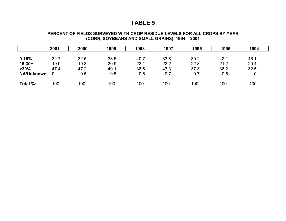#### **PERCENT OF FIELDS SURVEYED WITH CROP RESIDUE LEVELS FOR ALL CROPS BY YEAR (CORN, SOYBEANS AND SMALL GRAINS) 1994 – 2001**

|                                                     | 2001                      | 2000                        | 1999                        | 1998                        | 1997                        | 1996                        | 1995                        | 1994                        |
|-----------------------------------------------------|---------------------------|-----------------------------|-----------------------------|-----------------------------|-----------------------------|-----------------------------|-----------------------------|-----------------------------|
| $0 - 15%$<br>16-30%<br>$>30\%$<br><b>NA/Unknown</b> | 32.7<br>19.9<br>47.4<br>0 | 32.5<br>19.8<br>47.2<br>0.5 | 38.5<br>20.9<br>40.1<br>0.5 | 40.7<br>22.1<br>36.6<br>0.6 | 33.8<br>22.2<br>43.3<br>0.7 | 39.2<br>22.8<br>37.3<br>0.7 | 42.1<br>21.2<br>36.2<br>0.5 | 46.1<br>20.4<br>32.5<br>1.0 |
|                                                     |                           |                             |                             |                             |                             |                             |                             |                             |
| Total %:                                            | 100                       | 100                         | 100                         | 100                         | 100                         | 100                         | 100                         | 100                         |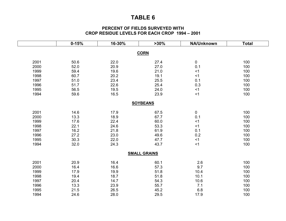### **PERCENT OF FIELDS SURVEYED WITH CROP RESIDUE LEVELS FOR EACH CROP 1994 – 2001**

|      | $0 - 15%$ | 16-30% | $>30\%$             | NA/Unknown | <b>Total</b> |
|------|-----------|--------|---------------------|------------|--------------|
|      |           |        |                     |            |              |
|      |           |        | <b>CORN</b>         |            |              |
| 2001 | 50.6      | 22.0   | 27.4                | $\pmb{0}$  | 100          |
| 2000 | 52.0      | 20.9   | 27.0                | 0.1        | 100          |
| 1999 | 59.4      | 19.6   | 21.0                | <1         | 100          |
| 1998 | 60.7      | 20.2   | 19.1                | $<$ 1      | 100          |
| 1997 | 51.0      | 23.4   | 25.5                | 0.1        | 100          |
| 1996 | 51.7      | 22.6   | 25.4                | 0.3        | 100          |
| 1995 | 56.5      | 19.5   | 24.0                | < 1        | 100          |
| 1994 | 59.6      | 16.5   | 23.9                | < 1        | 100          |
|      |           |        |                     |            |              |
|      |           |        | <b>SOYBEANS</b>     |            |              |
| 2001 | 14.6      | 17.9   | 67.5                | 0          | 100          |
| 2000 | 13.3      | 18.9   | 67.7                | 0.1        | 100          |
| 1999 | 17.6      | 22.4   | 60.0                | <1         | 100          |
| 1998 | 22.1      | 24.6   | 53.3                | $<$ 1      | 100          |
| 1997 | 16.2      | 21.8   | 61.9                | 0.1        | 100          |
| 1996 | 27.2      | 23.0   | 49.6                | $0.2\,$    | 100          |
| 1995 | 30.3      | 22.0   | 47.7                | <1         | 100          |
| 1994 | 32.0      | 24.3   | 43.7                | < 1        | 100          |
|      |           |        | <b>SMALL GRAINS</b> |            |              |
|      |           |        |                     |            |              |
| 2001 | 20.9      | 16.4   | 60.1                | 2.6        | 100          |
| 2000 | 16.4      | 16.6   | 57.3                | 9.7        | 100          |
| 1999 | 17.9      | 19.9   | 51.8                | 10.4       | 100          |
| 1998 | 19.4      | 18.7   | 51.8                | 10.1       | 100          |
| 1997 | 20.4      | 14.7   | 54.3                | 10.6       | 100          |
| 1996 | 13.3      | 23.9   | 55.7                | 7.1        | 100          |
| 1995 | 21.5      | 26.5   | 45.2                | $6.8\,$    | 100          |
| 1994 | 24.6      | 28.0   | 29.5                | 17.9       | 100          |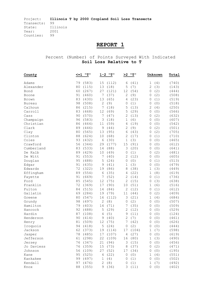# **REPORT 1**

Percent (Number) of Points Surveyed With Indicated **Soil Loss Relative to T** 

| County        | יי ביי<br><=1 | 1-2<br>יי דיי       | יי ביי<br>>2         | Unknown             | Total |
|---------------|---------------|---------------------|----------------------|---------------------|-------|
| Adams         | 79<br>(583)   | 15<br>(112)         | (41)<br>6            | 1<br>(4)            | (740) |
| Alexander     | 80<br>(115)   | 13<br>(18)          | 5<br>(7)             | $\mathbf{2}$<br>(3) | (143) |
| Bond          | 60<br>(267)   | 27<br>(121)         | (54)<br>12           | (2)<br>0            | (444) |
| Boone         | 91<br>(460)   | 7<br>(37)           | 2<br>(9)             | (2)<br>0            | (508) |
| Brown         | 83<br>(430)   | 13<br>(65)          | 4<br>(23)            | (1)<br>0            | (519) |
| <b>Bureau</b> | 98<br>(508)   | $\mathbf{2}$<br>(9) | (1)<br>0             | (0)<br>0            | (518) |
| Calhoun       | (215)<br>86   | 7<br>(18)           | 5<br>(13)            | 2<br>(4)            | (250) |
| Carroll       | 83<br>(468)   | 12<br>(69)          | 5<br>(29)            | (0)<br>$\mathbf 0$  | (566) |
| Cass          | 90<br>(570)   | 7<br>(47)           | $\mathbf{2}$<br>(13) | (2)<br>$\mathbf 0$  | (632) |
| Champaign     | 96<br>(583)   | 3<br>(18)           | (6)<br>$\mathbf 1$   | $\mathbf 0$<br>(0)  | (607) |
| Christian     | 86<br>(464)   | (59)<br>11          | 4<br>(19)            | (0)<br>0            | (542) |
| Clark         | 89<br>(446)   | 9<br>(44)           | (9)<br>2             | (2)<br>0            | (501) |
| Clay          | 80<br>(565)   | 13<br>(95)          | (43)<br>6            | (2)<br>0            | (705) |
| Clinton       | 88<br>(624)   | 10<br>(68)          | 2<br>(17)            | (1)<br>0            | (710) |
| Coles         | 93<br>(432)   | 6<br>(30)           | (3)<br>1             | (0)<br>0            | (465) |
| Crawford      | 56<br>(344)   | 29<br>(177)         | 15<br>(91)           | (0)<br>$\mathbf 0$  | (612) |
| Cumberland    | 83<br>(533)   | 14<br>(88)          | (20)<br>3            | (0)<br>$\mathbf 0$  | (641) |
| De Kalb       | 89<br>(429)   | 10<br>(49)          | (1)<br>0             | (2)<br>0            | (481) |
| De Witt       | (553)<br>91   | 7<br>(40)           | 2<br>(12)            | $\mathbf 0$<br>(0)  | (605) |
| Douglas       | 95<br>(488)   | 5<br>(24)           | (0)<br>0             | (1)<br>0            | (513) |
| Edgar         | 91<br>(435)   | 9<br>(41)           | (3)<br>1             | (0)<br>0            | (479) |
| Edwards       | 72<br>(322)   | 19<br>(86)          | (38)<br>8            | (3)<br>1            | (449) |
| Effingham     | 89<br>(554)   | 6<br>(35)           | (22)<br>4            | 1<br>(8)            | (619) |
| Fayette       | 91<br>(669)   | (52)<br>7           | 2<br>(14)            | (1)<br>0            | (736) |
| Ford          | 85<br>(545)   | 12<br>(75)          | $\mathbf{2}$<br>(15) | (3)<br>$\mathbf 0$  | (638) |
| Franklin      | 72<br>(369)   | 17<br>(90)          | (51)<br>10           | $1\,$<br>(6)        | (516) |
| Fulton        | 84<br>(515)   | (84)<br>14          | 2<br>(12)            | $\mathbf 0$<br>(1)  | (612) |
| Gallatin      | 69<br>(284)   | 19<br>(79)          | 11<br>(44)           | $\mathbf 0$<br>(2)  | (409) |
| Greene        | 80<br>(547)   | 16<br>(112)         | 3<br>(21)            | $\mathbf 1$<br>(4)  | (684) |
| Grundy        | 98<br>(497)   | 2<br>(8)            | (2)<br>0             | (0)<br>0            | (507) |
| Hamilton      | 79<br>(403)   | 14<br>(71)          | 7<br>(35)            | (0)<br>0            | (509) |
| Hancock       | 92<br>(488)   | 5<br>(29)           | 2<br>(12)            | (0)<br>0            | (529) |
| Hardin        | 87<br>(108)   | (5)<br>4            | (11)<br>9            | (0)<br>0            | (124) |
| Henderson     | 90<br>(414)   | 9<br>(40)           | (7)<br>2             | (0)<br>0            | (461) |
| Henry         | 81<br>(509)   | 12<br>(75)          | (42)<br>7            | (0)<br>0            | (626) |
| Iroquois      | 94<br>(418)   | 5<br>(24)           | (2)<br>$\circ$       | (0)<br>0            | (444) |
| Jackson       | 62<br>(373)   | 19<br>(114)         | 17<br>(104)          | 1<br>(7)            | (598) |
| Jasper        | 78 (485)      | 17 (107)            | $\sqrt{4}$<br>(27)   | 0(0)                | (619) |
| Jefferson     | 61 (298)      | 22 (109)            | 16 (80)              | 1(3)                | (490) |
| Jersey        | 76 (347)      | 21 (94)             | 3(15)                | 0 (0)               | (456) |
| Jo Daviess    | 76<br>(359)   | 15 (73)             | 8 (37)               | (2)<br>0            | (471) |
| Johnson       | 56<br>(109)   | 27 (52)             | 17 (34)              | (0)<br>0            | (195) |
| Kane          | (525)<br>95   | 4(22)               | $\circ$<br>(0)       | $\mathbf 1$<br>(4)  | (551) |
| Kankakee      | 99<br>(497)   | 1(4)                | (1)<br>$\circ$       | (0)<br>0            | (502) |
| Kendall       | 97<br>(476)   | 2(8)                | (1)<br>0             | 1<br>(7)            | (492) |
| Knox          | 88<br>(355)   | 9(36)               | 3(11)                | 0(0)                | (402) |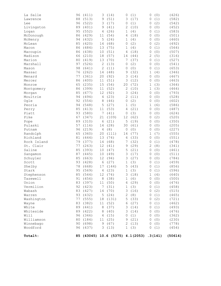| La Salle      | 96 | (411)            | 3              | (14)     | 0             | (1)                                      | 0            | (0)   | (426)   |
|---------------|----|------------------|----------------|----------|---------------|------------------------------------------|--------------|-------|---------|
| Lawrence      | 88 | (513)            | 9              | (51)     | 3             | (17)                                     | 0            | (1)   | (582)   |
| Lee           | 96 | (522)            | 3              | (17)     | $\mathbf 0$   | (1)                                      | 0            | (2)   | (542)   |
| Livingston    | 89 | (401)            | 9              | (41)     | $\mathbf{2}$  | (10)                                     | 0            | (0)   | (452)   |
| Logan         | 95 | (552)            | 4              | (26)     | 1             | (4)                                      | 0            | (1)   | (583)   |
| McDonough     | 86 | (429)            | 11             | (54)     | 4             | (18)                                     | 0            | (0)   | (501)   |
| McHenry       | 94 | (432)            | 5              | (24)     | 1             | (4)                                      | $\mathbf 0$  | (0)   | (460)   |
| McLean        | 85 | (420)            | 14             | (68)     | 0             | (2)                                      | 0            | (2)   | (492)   |
| Macon         | 86 | (484)            | 13             | (75)     | 1             | (4)                                      | 0            | (1)   | (564)   |
| Macoupin      | 86 | (438)            | 10             | (51)     | 4             | (18)                                     | 0            | (0)   | (507)   |
| Madison       | 66 | (210)            | 18             | (57)     | 14            | (44)                                     | $\mathbf{2}$ | (5)   | (316)   |
| Marion        | 80 | (419)            | 13             | (70)     | 7             | (37)                                     | 0            | (1)   | (527)   |
| Marshall      | 97 | (526)            | $\mathbf{2}$   | (13)     | $\mathbf 0$   | (2)                                      | $\mathbf 0$  | (0)   | (541)   |
| Mason         | 98 | (641)            | $\mathbf{2}$   | (11)     | 0             | (0)                                      | 0            | (1)   | (653)   |
| Massac        | 76 | (262)            | 14             | (48)     | 9             | (32)                                     | 1            | (4)   | (346)   |
| Menard        | 77 | (361)            | 20             | (92)     | 3             | (14)                                     | $\mathbf 0$  | (0)   | (467)   |
| Mercer        | 86 | (400)            | 11             | (51)     | 3             | (12)                                     | 0            | (0)   | (463)   |
| Monroe        | 65 | (235)            | 15             | (54)     | 20            | (72)                                     | 1            | (3)   | (364)   |
| Montgomery    | 86 | (399)            | 11             | (52)     | $\mathbf{2}$  | (10)                                     | 1            | (3)   | (464)   |
| Morgan        | 85 | (677)            | 12             | (92)     | $\mathcal{S}$ | (24)                                     | 0            | (0)   | (793)   |
| Moultrie      | 94 | (494)            | $\overline{4}$ | (23)     | $\mathbf{2}$  | (11)                                     | $\mathbf 0$  | (0)   | (528)   |
| Ogle          | 92 | (554)            | 8              | (46)     | $\mathbf 0$   | (2)                                      | $\mathbf 0$  | (0)   | (602)   |
| Peoria        | 94 | (548)            | 5              | (27)     | 1             | (5)                                      | $\mathbf 1$  | (6)   | (586)   |
| Perry         | 85 | (413)            | 11             | (53)     | 4             | (21)                                     | 0            | (0)   | (487)   |
|               | 93 |                  |                |          |               |                                          | $\mathbf 0$  |       |         |
| Piatt<br>Pike | 67 | (580)<br>(347)   | 7              | (41)     | 0             | (3)                                      |              | (0)   | (624)   |
|               |    |                  | 21             | (109)    | 12            | (62)                                     | 0            | (2)   | (520)   |
| Pope          | 89 | (310)            | 6              | (21)     | 5             | (19)                                     | 0            | (0)   | (350)   |
| Pulaski       | 57 | (116)            | 14             | (28)     | 30            | (61)                                     | 0            | (0)   | (205)   |
| Putnam        | 96 | (219)            | $\overline{4}$ | (8)      | $\mathbb O$   | (0)                                      | 0            | (0)   | (227)   |
| Randolph      | 65 | (360)            | 20             | (111)    | 14            | (77)                                     | 1            | (7)   | (555)   |
| Richland      | 81 | (444)            | 13             | (74)     | 6             | (33)                                     | 0            | (0)   | (551)   |
| Rock Island   | 79 | (377)            | 14             | (68)     | 7             | (32)                                     | 0            | (1)   | (478)   |
| St. Clair     | 77 | (263)            | 12             | (41)     | 9             | (29)                                     | 2            | (8)   | (341)   |
| Saline        | 85 | (393)            | $10$           | (47)     | 5             | (21)                                     | 0            | (0)   | (461)   |
| Sangamon      | 87 | (445)            | 10             | (49)     | 3             | (17)                                     | 0            | (0)   | (511)   |
| Schuyler      | 85 | (663)            | 12             | (94)     | 3             | (27)                                     | 0            | (0)   | (784)   |
| Scott         | 93 | (428)            | 6              | (27)     | 1             | (3)                                      | 0            | (1)   | (459)   |
| Shelby        | 78 | (668)            | 17             | (144)    | 5             | (43)                                     | 0            | (1)   | (856)   |
| Stark         | 95 | (569)            | 4              | (23)     | $\mathbf 1$   | (3)                                      | 0            | (1)   | (596)   |
| Stephenson    |    | 85 (544)         |                | 12 (74)  |               | 3(18)                                    |              | 1(4)  | (640)   |
| Tazewell      |    | 91 (456) 8 (38)  |                |          |               | 1(6)                                     |              | 0 (0) | (500)   |
| Union         |    | 83 (397) 11 (50) |                |          |               | 6 (29)                                   |              | 0(0)  | (476)   |
| Vermilion     |    | 92 (423) 7 (31)  |                |          |               | 1(3)                                     |              | 0(1)  | (458)   |
| Wabash        |    | 83 (427)         |                | 14 (70)  |               | 3(16)                                    |              | 0(2)  | (515)   |
| Warren        |    | 93 (432)         |                | 5 (24)   |               | 2(8)                                     |              | 0(1)  | (465)   |
| Washington    |    | 77 (555)         |                | 18 (131) |               | 5(33)                                    |              | 0(2)  | (721)   |
| Wayne         | 83 | (382)            |                | 11 (52)  |               | 6 (27)                                   |              | 0(1)  | (462)   |
| White         |    | 89 (441)         |                | 8 (37)   |               | 3(14)                                    |              | 0(1)  | (493)   |
| Whiteside     |    | 89 (422)         |                | 8 (40)   |               | 3(14)                                    |              | 0 (0) | (476)   |
| Will          |    | 96 (346)         |                | 4 (15)   |               | 0(1)                                     |              | 0(0)  | (362)   |
| Williamson    |    | 80 (184)         |                | 11 (25)  |               | 9 (21)                                   |              | 0(0)  | (230)   |
| Winnebago     |    | 90 (698)         |                | 9 (67)   |               | 2(13)                                    |              | 0(0)  | (778)   |
| Woodford      |    | 96 (437)         |                | 3(13)    |               | 1(3)                                     |              | 0(1)  | (454)   |
| Total%:       |    |                  |                |          |               | 85 (43045) 10.6 (5375) 4.1(2053) .3(141) |              |       | (50614) |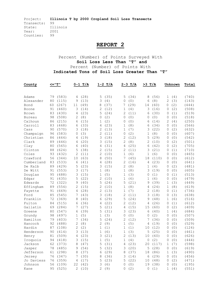# **REPORT 2**

### Percent (Number) of Points Surveyed With **Soil Loss Less Than "T" and**  Percent (Number) of Points With **Indicated Tons of Soil Loss Greater Than "T"**

| County        | <="T" |       |    | $0-1$ T/A |             | $1-2$ T/A |              | $2 - 3$ T/A | $>3$ T/A            |       |             | Unknown | Total |
|---------------|-------|-------|----|-----------|-------------|-----------|--------------|-------------|---------------------|-------|-------------|---------|-------|
|               |       |       |    |           |             |           |              |             |                     |       |             |         |       |
| Adams         | 79    | (583) | 4  | (28)      | 5           | (35)      | 5            | (34)        | 8                   | (56)  | 1           | (4)     | (740) |
| Alexander     | 80    | (115) | 9  | (13)      | 3           | (4)       | $\circ$      | (0)         | 6                   | (8)   | 2           | (3)     | (143) |
| Bond          | 60    | (267) | 11 | (49)      | 8           | (37)      | 7            | (29)        | 14                  | (60)  | 0           | (2)     | (444) |
| Boone         | 91    | (460) | 3  | (14)      | 2           | (12)      | 1            | (4)         | 3                   | (16)  | 0           | (2)     | (508) |
| Brown         | 83    | (430) | 4  | (23)      | 5           | (24)      | 2            | (11)        | 6                   | (30)  | 0           | (1)     | (519) |
| <b>Bureau</b> | 98    | (508) | 2  | (8)       | 0           | (2)       | $\mathbf{0}$ | (0)         | 0                   | (0)   | 0           | (0)     | (518) |
| Calhoun       | 86    | (215) | 6  | (15)      | 1           | (2)       | 0            | (0)         | 6                   | (14)  | 2           | (4)     | (250) |
| Carroll       | 83    | (468) | 6  | (33)      | 4           | (23)      | 1            | (8)         | 6                   | (34)  | 0           | (0)     | (566) |
| Cass          | 90    | (570) | 3  | (18)      | 2           | (13)      | 1            | (7)         | 3                   | (22)  | 0           | (2)     | (632) |
| Champaign     | 96    | (583) | 0  | (3)       | 2           | (11)      | 0            | (2)         | 1                   | (8)   | 0           | (0)     | (607) |
| Christian     | 86    | (464) | 4  | (19)      | 3           | (18)      | 2            | (12)        | 5                   | (29)  | 0           | (0)     | (542) |
| Clark         | 89    | (446) | 4  | (20)      | 3           | (15)      | 2            | (8)         | 2                   | (10)  | 0           | (2)     | (501) |
| Clay          | 80    | (565) | 6  | (40)      | 4           | (31)      | 4            | (25)        | 6                   | (42)  | 0           | (2)     | (705) |
| Clinton       | 88    | (624) | 5  | (38)      | 2           | (15)      | 2            | (11)        | 3                   | (21)  | 0           | (1)     | (710) |
| Coles         | 93    | (432) | 2  | (11)      | 2           | (10)      | $\mathbf 1$  | (6)         | $\mathbf 1$         | (6)   | 0           | (0)     | (465) |
| Crawford      | 56    | (344) | 10 | (63)      | 8           | (50)      | 7            | (45)        | 18                  | (110) | 0           | (0)     | (612) |
| Cumberland    | 83    | (533) | 6  | (41)      | 4           | (28)      | 2            | (16)        | 4                   | (23)  | 0           | (0)     | (641) |
| De Kalb       | 89    | (429) | 5  | (23)      | 3           | (15)      | 2            | (8)         | 1                   | (4)   | 0           | (2)     | (481) |
| De Witt       | 91    | (553) | 3  | (17)      | 1           | (8)       | 1            | (8)         | 3                   | (19)  | 0           | (0)     | (605) |
| Douglas       | 95    | (488) | 3  | (15)      | 1           | (5)       | 1            | (3)         | 0                   | (1)   | 0           | (1)     | (513) |
| Edgar         | 91    | (435) | 5  | (22)      | 2           | (10)      | 1            | (6)         | 1                   | (6)   | 0           | (0)     | (479) |
| Edwards       | 72    | (322) | 9  | (40)      | 5           | (24)      | 5            | (21)        | 9                   | (39)  | 1           | (3)     | (449) |
| Effingham     | 89    | (554) | 2  | (15)      | 2           | (10)      | 1            | (8)         | 4                   | (24)  | 1           | (8)     | (619) |
| Fayette       | 91    | (669) | 4  | (28)      | 2           | (13)      | $\mathbf 1$  | (7)         | 2                   | (18)  | 0           | (1)     | (736) |
| Ford          | 85    | (545) | 7  | (43)      | 3           | (18)      | 2            | (11)        | 3                   | (18)  | 0           | (3)     | (638) |
| Franklin      | 72    | (369) | 8  | (40)      | 6           | (29)      | 5            | (24)        | 9                   | (48)  | 1           | (6)     | (516) |
| Fulton        | 84    | (515) | 6  | (36)      | 4           | (22)      | 2            | (12)        | 4                   | (26)  | 0           | (1)     | (612) |
| Gallatin      | 69    | (284) | 7  | (27)      | 5           | (21)      | 4            | (15)        | 15                  | (60)  | 0           | (2)     | (409) |
| Greene        | 80    | (547) | 6  | (39)      | 5           | (31)      | 3            | (23)        | 6                   | (40)  | 1           | (4)     | (684) |
| Grundy        | 98    | (497) | 1  | (5)       | 1           | (3)       | 0            | (0)         | $\Omega$            | (2)   | 0           | (0)     | (507) |
| Hamilton      | 79    | (403) | 7  | (34)      | 5           | (24)      | 2            | (12)        | 7                   | (36)  | 0           | (0)     | (509) |
| Hancock       | 92    | (488) | 2  | (8)       | 2           | (9)       | $\mathbf 1$  | (5)         | 4                   | (19)  | 0           | (0)     | (529) |
| Hardin        | 87    | (108) | 2  | (2)       | 1           | (1)       | $\mathbf 1$  | (1)         | 10                  | (12)  | 0           | (0)     | (124) |
| Henderson     | 90    | (414) | 3  | (13)      | $\mathbf 1$ | (6)       | $\mathbf 1$  | (3)         | 5                   | (25)  | 0           | (0)     | (461) |
| Henry         | 81    | (509) | 4  | (23)      | 3           | (21)      | 2            | (13)        | 10                  | (60)  | 0           | (0)     | (626) |
| Iroquois      | 94    | (418) | 3  | (15)      | 1           | (5)       | 1            | (4)         | 0                   | (2)   | 0           | (0)     | (444) |
| Jackson       | 62    | (373) | 8  | (47)      | 5           | (31)      | 4            | (23)        | 20                  | (117) | 1           | (7)     | (598) |
| Jasper        | 78    | (485) | 9  | (54)      | 5           | (32)      | 3            | (20)        | 5                   | (28)  | 0           | (0)     | (619) |
| Jefferson     | 61    | (298) | 8  | (37)      | 6           | (29)      | 8            | (37)        | 18                  | (86)  | 1           | (3)     | (490) |
| Jersey        | 76    | (347) | 7  | (30)      | 8           | (36)      | 3            | (14)        | 6                   | (29)  | 0           | (0)     | (456) |
| Jo Daviess    | 76    | (359) | 4  | (17)      | 5           | (23)      | 5            | (22)        | 10                  | (48)  | 0           | (2)     | (471) |
| Johnson       | 56    | (109) | 22 | (42)      | 3           | (6)       | 0            | (0)         | 19                  | (38)  | 0           | (0)     | (195) |
| Kane          | 95    | (525) |    | 2(10)     |             | 2(9)      | 0            | (2)         | $\mathsf{O}\xspace$ | (1)   | $\mathbf 1$ | (4)     | (551) |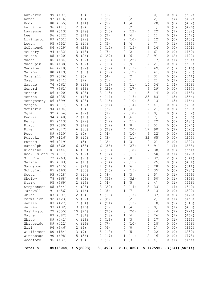| Kankakee       | 99 | (497)               | 1 | (3)    | 0 | (1)     | 0              | (1)       | 0  | (0)    | 0           | (0)   | (502)                        |
|----------------|----|---------------------|---|--------|---|---------|----------------|-----------|----|--------|-------------|-------|------------------------------|
| Kendall        | 97 | (476)               | 1 | (3)    | 0 | (2)     | 0              | (2)       | 0  | (2)    | 1           | (7)   | (492)                        |
| Knox           | 88 | (355)               | 3 | (14)   | 2 | (9)     | 1              | (4)       | 5  | (20)   | 0           | (0)   | (402)                        |
| La Salle       | 96 | (411)               | 2 | (9)    | 1 | (3)     | 0              | (2)       | 0  | (1)    | 0           | (0)   | (426)                        |
| Lawrence       | 88 | (513)               | 3 | (19)   | 3 | (15)    | 2              | (12)      | 4  | (22)   | 0           | (1)   | (582)                        |
| Lee            | 96 | (522)               | 2 | (11)   | 0 | (2)     | $\mathbf 1$    | (4)       | 0  | (1)    | 0           | (2)   | (542)                        |
| Livingston     | 89 | (401)               | 5 | (22)   | 2 | (7)     | 2              | (10)      | 3  | (12)   | 0           | (0)   | (452)                        |
| Logan          | 95 | (552)               | 2 | (14)   | 1 | (5)     | 1              | (4)       | 1  | (7)    | 0           | (1)   | (583)                        |
| McDonough      | 86 | (429)               | 6 | (28)   | 3 | (15)    | 3              | (15)      | 3  | (14)   | 0           | (0)   | (501)                        |
| McHenry        | 94 | (432)               | 3 | (13)   | 2 | (7)     | 0              | (2)       | 1  | (6)    | 0           | (0)   | (460)                        |
| McLean         | 85 | (420)               | 5 | (26)   | 6 | (29)    | $\mathbf 1$    | (6)       | 2  | (9)    | 0           | (2)   | (492)                        |
| Macon          | 86 | (484)               | 5 | (27)   | 2 | (13)    | 4              | (22)      | 3  | (17)   | 0           | (1)   | (564)                        |
| Macoupin       | 86 | (438)               | 5 | (27)   | 2 | (12)    | 2              | (9)       | 4  | (21)   | 0           | (0)   | (507)                        |
| Madison        | 66 | (210)               | 7 | (22)   | 5 | (17)    | 4              | (13)      | 16 | (49)   | 2           | (5)   | (316)                        |
| Marion         | 80 | (419)               | 7 | (35)   | 4 | (19)    | 2              | (12)      | 8  | (41)   | 0           | (1)   | (527)                        |
| Marshall       | 97 | (526)               | 1 | (6)    | 1 | (4)     | 0              | (2)       | 1  | (3)    | 0           | (0)   | (541)                        |
| Mason          | 98 | (641)               | 1 | (7)    | 0 | (1)     | 0              | (1)       | 0  | (2)    | 0           | (1)   | (653)                        |
| Massac         | 76 | (262)               | 5 | (19)   | 5 | (16)    | 3              | (11)      | 10 | (34)   | 1           | (4)   | (346)                        |
| Menard         | 77 | (361)               | 8 | (36)   | 5 | (24)    | 4              | (17)      | 6  | (29)   | 0           | (0)   | (467)                        |
| Mercer         | 86 | (400)               | 5 | (25)   | 3 | (13)    | 2              | (11)      | 3  | (14)   | 0           | (0)   | (463)                        |
| Monroe         | 65 | (235)               | 4 | (13)   | 4 | (14)    | 4              | (16)      | 23 | (83)   | 1           | (3)   | (364)                        |
| Montgomery     | 86 | (399)               | 5 | (23)   | 3 | (16)    | 2              | (10)      | 3  | (13)   | 1           | (3)   | (464)                        |
| Morgan         | 85 | (677)               | 5 | (37)   | 3 | (24)    | 2              | (14)      | 5  | (41)   | 0           | (0)   | (793)                        |
| Moultrie       | 94 | (494)               | 1 | (6)    | 1 | (3)     | 1              | (4)       | 4  | (21)   | 0           | (0)   | (528)                        |
| Ogle           | 92 | (554)               | 4 | (22)   | 1 | (7)     | 2              | (10)      | 1  | (9)    | 0           | (0)   | (602)                        |
| Peoria         | 94 | (548)               | 2 | (13)   | 1 | (6)     | 1              | (6)       | 1  | (7)    | 1           | (6)   | (586)                        |
| Perry          | 85 | (413)               | 5 | (22)   | 4 | (19)    | $\overline{2}$ | (11)      | 5  | (22)   | 0           | (0)   | (487)                        |
| Piatt          | 93 | (580)               | 3 | (19)   | 2 | (12)    | $\mathbf 1$    | (8)       | 1  | (5)    | 0           | (0)   | (624)                        |
| Pike           | 67 | (347)               | 6 | (33)   | 5 | (28)    | 4              | (20)      | 17 | (90)   | 0           | (2)   | (520)                        |
| Pope           | 89 | (310)               | 1 | (4)    | 1 | (4)     | 3              | (10)      | 6  | (22)   | 0           | (0)   | (350)                        |
| Pulaski        | 57 | (116)               | 5 | (10)   | 1 | (3)     | 5              | (11)      | 32 | (65)   | 0           | (0)   | (205)                        |
| Putnam         | 96 | (219)               | 1 | (3)    | 1 | (2)     | 1              | (3)       | 0  | (0)    | 0           | (0)   | (227)                        |
| Randolph       | 65 | (360)               | 6 | (35)   | 6 | (35)    | 5              | (27)      | 16 | (91)   | 1           | (7)   | (555)                        |
| Richland       | 81 | (444)               | 6 | (33)   | 3 | (18)    | 3              | (18)      | 7  | (38)   | 0           | (0)   | (551)                        |
| Rock Island 79 |    | (377)               | 5 | (22)   | 4 | (17)    | 2              | (11)      | 10 | (50)   | 0           | (1)   | (478)                        |
| St. Clair      | 77 | (263)               | 6 | (20)   | 3 | (10)    | $\mathbf{2}$   | (8)       | 9  | (32)   | 2           | (8)   | (341)                        |
| Saline         | 85 | (393)               | 4 | (18)   | 3 | (14)    | 2              | (11)      | 5  | (25)   | 0           | (0)   | (461)                        |
| Sangamon       | 87 | (445)               | 4 | (21)   | 2 | (11)    | $\mathbf 1$    | (6)       | 5  | (28)   | 0           | (0)   | (511)                        |
| Schuyler       | 85 | (663)               | 7 | (55)   | 2 | (16)    | 2              | (15)      | 4  | (35)   | 0           | (0)   | (784)                        |
| Scott          |    | 93 (428)            |   | 3(14)  |   | 2(8)    |                | 1(3)      |    | 1(5)   |             | 0(1)  | (459)                        |
| Shelby         |    | 78 (668)            |   | 6 (49) |   | 7(56)   |                | 4 (32)    |    | 6(50)  |             | 0(1)  | (856)                        |
| Stark          |    | 95 (569)            |   | 2(13)  |   | 1(4)    |                | 1(5)      |    | 1(4)   | 0           | (1)   | (596)                        |
| Stephenson     | 85 | (544)               |   | 4(25)  |   | 3(20)   |                | 2(14)     |    | 5(33)  | $\mathbf 1$ | (4)   | (640)                        |
| Tazewell       | 91 | (456)               |   | 3(16)  |   | 2(8)    |                | 1(7)      |    | 3(13)  | 0           | (0)   | (500)                        |
| Union          | 83 | (397)               |   | 2(9)   |   | 4(18)   |                | 3(15)     |    | 8 (37) | 0           | (0)   | (476)                        |
| Vermilion      | 92 | (423)               |   | 5(22)  |   | 2(8)    |                | 0(2)      | 0  | (2)    | 0           | (1)   | (458)                        |
| Wabash         |    | 83 (427)            |   | 7(34)  |   | 4(21)   |                | 3(13)     |    | 3(18)  | 0           | (2)   | (515)                        |
| Warren         |    | 93 (432)            |   | 3(16)  |   | 1(3)    |                | 1(4)      |    | 2(9)   | 0           | (1)   | (465)                        |
| Washington     |    | 77 (555)            |   | 10(74) |   | 4(26)   |                | 3(20)     |    | 6(44)  | 0           | (2)   | (721)                        |
| Wayne          |    | 83 (382)            |   | 7(31)  |   | 4(18)   |                | 1(4)      |    | 6(26)  | 0           | (1)   | (462)                        |
| White          |    | 89 (441)            |   | 4(18)  |   | 3(13)   |                | 1(3)      |    | 3(17)  | $\circ$     | (1)   | (493)                        |
| Whiteside      | 89 | (422)               |   | 4 (19) |   | 1(7)    |                | 2(10)     | 4  | (18)   | 0           | (0)   | (476)                        |
| Will           | 96 | (346)               |   | 2(9)   |   | 2(6)    | 0              | (0)       | 0  | (1)    | 0           | (0)   | (362)                        |
| Williamson     |    | 80 (184)            |   | 3(7)   |   | 5(12)   |                | 2(5)      |    | 10(22) | 0           | (0)   | (230)                        |
| Winnebago      |    | 90 (698)            |   | 5(36)  |   | 2(17)   |                | 1(11)     |    | 2(16)  |             | 0 (0) | (778)                        |
| Woodford       |    | 96 (437)            |   | 2(8)   |   | 0(1)    |                | 1(3)      |    | 1(4)   |             | 0(1)  | (454)                        |
| Total %:       |    | 85(43045) 4.5(2293) |   |        |   | 3(1490) |                | 2.1(1050) |    |        |             |       | $5.1(2595)$ $.3(141)(50614)$ |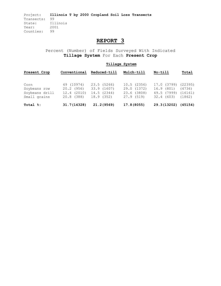# **REPORT 3**

Percent (Number) of Fields Surveyed With Indicated **Tillage System** For Each **Present Crop** 

| Present Crop                                           | Conventional                                           | Reduced-till                                           | Mulch-till                                            | No-till                                                | Total                                  |  |
|--------------------------------------------------------|--------------------------------------------------------|--------------------------------------------------------|-------------------------------------------------------|--------------------------------------------------------|----------------------------------------|--|
| Corn<br>Soybeans row<br>Soybeans drill<br>Small grains | 49 (10974)<br>$20.2$ (956)<br>12.4(2010)<br>20.8 (388) | 23.5 (5266)<br>33.9 (1607)<br>14.5 (2344)<br>18.9(352) | 10.5(2356)<br>29.0 (1372)<br>23.6 (3808)<br>27.9(519) | 17.0 (3799)<br>16.9 (801)<br>49.5 (7999)<br>32.4 (603) | (22395)<br>(4736)<br>(16161)<br>(1862) |  |
| Total %:                                               | 31.7(14328)                                            | 21.2 (9569)                                            | 17.8 (8055)                                           | 29.3(13202)                                            | (45154)                                |  |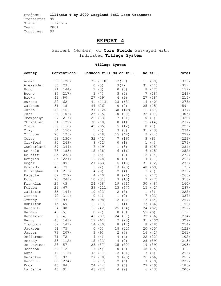# **REPORT 4**

Percent (Number) of **Corn Fields** Surveyed With Indicated **Tillage System** 

| County       | Conventional |          |             | Reduced-till Mulch-till |                |        | No-till        |         | Total |
|--------------|--------------|----------|-------------|-------------------------|----------------|--------|----------------|---------|-------|
| Adams        | 36           | (120)    | 35          | (118)                   |                | 17(57) | 11             | (38)    | (333) |
| Alexander    | 66           | (23)     | 0           | (0)                     |                | 3(1)   | 31             | (11)    | (35)  |
| Bond         | 91           | (144)    | 2           | (3)                     | 0              | (0)    | 8              | (12)    | (159) |
| Boone        | 87           | (217)    | 3           | (7)                     | 3              | (7)    | 7              | (18)    | (249) |
| <b>Brown</b> | 42           | (90)     | 27          | (59)                    | 4              | (9)    | 27             | (58)    | (216) |
| Bureau       | 22           | (62)     | 41          | (113)                   | 23             | (63)   | 14             | (40)    | (278) |
| Calhoun      | 31           | (18)     | 44          | (26)                    | $\mathbf{0}$   | (0)    | 25             | (15)    | (59)  |
| Carroll      | 14           | (46)     | 37          | (126)                   | 38             | (128)  | 11             | (37)    | (337) |
| Cass         | 34           | (103)    | 25          | (75)                    | 10             | (30)   | 32             | (97)    | (305) |
| Champaign    | 67           | (215)    | 26          | (83)                    | 7              | (21)   | 0              | (1)     | (320) |
| Christian    | 51           | (122)    | 30          | (70)                    | $\mathbf{0}$   | (1)    | 19             | (44)    | (237) |
| Clark        | 52           | (118)    | 42          | (95)                    | 5              | (12)   | 0              | (1)     | (226) |
| Clay         | 64           | (150)    | 1           | (3)                     | 3              | (8)    | 31             | (73)    | (234) |
| Clinton      | 70           | (195)    | 6           | (18)                    | 15             | (42)   | 9              | (24)    | (279) |
| Coles        | 58           | (130)    | 32          | (71)                    | 7              | (16)   | 3              | (6)     | (223) |
| Crawford     | 90           | (249)    | 8           | (22)                    | 0              | (1)    | 1              | (4)     | (276) |
| Cumberland   | 87           | (244)    | 7           | (19)                    | 1              | (3)    | 5              | (15)    | (281) |
| De Kalb      | 73           | (183)    | 15          | (38)                    | 6              | (16)   | 6              | (15)    | (252) |
| De Witt      | 85           | (238)    | 2           | (5)                     | $\mathbf 1$    | (2)    | 12             | (34)    | (279) |
| Douglas      | 85           | (224)    | 11          | (28)                    | $\mathbf{0}$   | (0)    | $\overline{4}$ | (11)    | (263) |
| Edgar        | 36           | (85)     | 27          | (63)                    | 6              | (13)   | 31             | (72)    | (233) |
| Edwards      | 46           | (79)     | 1           | (2)                     | 13             | (23)   | 40             | (69)    | (173) |
| Effingham    | 91           | (213)    | 4           | (9)                     | $\mathbf{2}$   | (4)    | 3              | (7)     | (233) |
| Fayette      | 82           | (217)    | 4           | (10)                    | 8              | (21)   | 6              | (17)    | (265) |
| Ford         | 78           | (248)    | 10          | (31)                    | 3              | (10)   | 9              | (27)    | (316) |
| Franklin     | 27           | (43)     | 24          | (38)                    | 19             | (31)   | 30             | (48)    | (160) |
| Fulton       | 23           | (67)     | 39          | (111)                   | 23             | (67)   | 15             | (42)    | (287) |
| Gallatin     | 86           | (194)    | 10          | (23)                    | 2              | (5)    | $\mathbf 1$    | (3)     | (225) |
| Greene       | 92           | (311)    | $\mathbf 0$ | (1)                     | $\mathbf 1$    | (2)    | 7              | (23)    | (337) |
| Grundy       | 36           | (93)     | 38          | (98)                    | 12             | (32)   | 13             | (34)    | (257) |
| Hamilton     | 45           | (69)     | 11          | (17)                    | $\mathbf{1}$   | (1)    | 43             | (66)    | (153) |
| Hancock      | 34           | (88)     | 16          | (42)                    | 25             | (64)   | 24             | (62)    | (256) |
| Hardin       | 45           | (5)      | 0           | (0)                     | $\mathbf{0}$   | (0)    | 55             | (6)     | (11)  |
| Henderson    | 2            | (4)      | 41          | (97)                    | 24             | (57)   | 32             | (76)    | (234) |
| Henry        | 43           | (143)    | 19          | (61)                    | 7              | (23)   | 31             | (102)   | (329) |
| Iroquois     | 69           | (148)    | 14          | (30)                    | 8              | (18)   | 8              | (18)    | (214) |
| Jackson      | 61           | (75)     | $\mathbb O$ | (0)                     | 18             | (22)   | 20             | (25)    | (122) |
| Jasper       |              | 79 (207) |             | 3(9)                    |                | 2(4)   |                | 16 (41) | (261) |
| Jefferson    |              | 71 (72)  |             | 4(4)                    |                | 4(4)   |                | 22 (22) | (102) |
| Jersey       | 53           | (112)    | 15          | (33)                    | $\overline{4}$ | (9)    | 28             | (59)    | (213) |
| Jo Daviess   | 28           | (57)     | 28          | (57)                    | 25             | (50)   | 19             | (39)    | (203) |
| Johnson      | 39           | (12)     | 13          | (4)                     | $\circ$        | (0)    | 48             | (15)    | (31)  |
| Kane         | 43           | (113)    | 42          | (111)                   | 12             | (31)   | 3              | (8)     | (263) |
| Kankakee     | 38           | (97)     | 27          | (70)                    | 9              | (23)   | 26             | (66)    | (256) |
| Kendall      | 85           | (234)    | 6           | (17)                    | 2              | (6)    | 7              | (19)    | (276) |
| Knox         | 46           | (84)     | 24          | (44)                    | 3              | (6)    | 27             | (49)    | (183) |
| La Salle     | 46           | (91)     | 43          | (87)                    | 4              | (9)    |                | 6(13)   | (200) |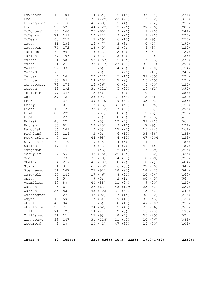| McDonough          | 57          | (140)           | 25           | (60)                | 9      | (21)                   | 9<br>9  | (23)<br>(21)       | (244)          |
|--------------------|-------------|-----------------|--------------|---------------------|--------|------------------------|---------|--------------------|----------------|
| McHenry            | 71          | (159)           | 10           | (22)                | 9      | (21)                   |         |                    | (223)          |
| McLean             | 83          | (212)           | 7            | (19)                | 6      | (15)                   | 4       | (9)                | (255)          |
| Macon              | 81<br>76    | (234)<br>(172)  | 16<br>18     | (47)                | 3<br>2 | (8)<br>(5)             | 0<br>4  | (1)<br>(8)         | (290)<br>(225) |
| Macoupin           | 74          | (96)            |              | (40)<br>(23)        | 2      |                        | 6       |                    |                |
| Madison<br>Marion  | 77          | (106)           | 18<br>9      | (13)                | 3      | (2)<br>(4)             | 11      | (8)<br>(15)        | (129)<br>(138) |
| Marshall           | 21          | (58)            | 58           | (157)               | 16     | (44)                   | 5       | (13)               | (272)          |
| Mason              | $\mathbf 1$ | (2)             | 38           | (113)               | 23     | (68)                   | 39      | (116)              | (299)          |
| Massac             | 27          | (33)            | 5            | (6)                 | 4      | (5)                    | 65      | (80)               | (124)          |
| Menard             | 70          | (169)           | 0            | (0)                 | 11     | (26)                   | 19      | (47)               | (242)          |
| Mercer             | 4           | (10)            | 52           | (121)               | 5      | (11)                   | 39      | (89)               | (231)          |
| Monroe             | 65          | (85)            | 14           | (18)                | 7      | (9)                    | 15      | (19)               | (131)          |
| Montgomery         | 79          | (174)           | 16           | (36)                | 0      | (0)                    | 5       | (10)               | (220)          |
| Morgan             | 49          | (192)           | 31           | (121)               | 5      | (20)                   | 16      | (62)               | (395)          |
| Moultrie           | 97          | (247)           | 2            | (5)                 | 1      | (2)                    | $\circ$ | (1)                | (255)          |
| Ogle               | 37          | (121)           | 28           | (93)                | 21     | (69)                   | 15      | (48)               | (331)          |
| Peoria             | 10          | (27)            | 39           | (110)               | 19     | (53)                   | 33      | (93)               | (283)          |
| Perry              | 0           | (0)             | 8            | (13)                | 31     | (50)                   | 61      | (98)               | (161)          |
| Piatt              | 44          | (129)           | 38           | (112)               | 17     | (49)                   | 1       | (3)                | (293)          |
| Pike               | 86          | (222)           | 12           | (31)                | 0      | (0)                    | 2       | (5)                | (258)          |
| Pope               | 66          | (27)            | $\mathbf{2}$ | (1)                 | 0      | (0)                    | 32      | (13)               | (41)           |
| Pulaski            | 48          | (27)            | 0            | (0)                 | 13     | (7)                    | 39      | (22)               | (56)           |
| Putnam             | 65          | (81)            | 19           | (23)                | 9      | (11)                   | 7       | (9)                | (124)          |
| Randolph           | 66          | (109)           | $\mathbf{2}$ | (3)                 | 17     | (28)                   | 15      | (24)               | (164)          |
| Richland           | 53          | (124)           | 2            | (5)                 | 6      | (15)                   | 38      | (88)               | (232)          |
| Rock Island        | 5           | (11)            | 44           | (98)                | 4      | (10)                   | 47      | (104)              | (223)          |
| St. Clair          | 72          | (110)           | 10           | (15)                | 4      | (6)                    | 14      | (21)               | (152)          |
| Saline             | 47          | (74)            | 8            | (13)                | 4      | (7)                    | 41      | (65)               | (159)          |
| Sangamon           | 64          | (169)           | 16           | (43)                | 5      | (14)                   | 15      | (39)               | (265)          |
| Schuyler           | 17          | (55)            | 48           | (156)               | 26     | (84)                   | 9       | (30)               | (325)          |
| Scott              | 33          | (73)            | 36           | (79)                | 14     | (31)                   | 18      | (39)               | (222)          |
| Shelby             | 54          | (217)           | 45           | (183)               | 0      | (2)                    | 0       | (2)                | (404)          |
| Stark              | $\mathbf 1$ | (3)             | 61           | (209)               | 16     | (55)                   | 22      | (75)               | (342)          |
| Stephenson         | 31          | (107)           | 27           | (92)                | 28     | (95)                   | 14      | (47)               | (341)          |
| Tazewell           |             | 55 (145)        |              | 17 (46)             |        | 8 (21)                 |         | 20 (54)            | (266)          |
| Union<br>Vermilion |             | 9(5)<br>40 (88) |              | 9(5)<br>40 (88)     |        | 2(1)<br>11(24)         |         | 80 (45)<br>9(20)   | (56)<br>(220)  |
|                    |             | 3(6)            |              |                     |        | 48 (109)               |         |                    |                |
| Wabash<br>Warren   |             | 23 (55)         |              | 27 (62)<br>43 (103) |        | 21(51)                 |         | 23 (52)<br>13 (32) | (229)          |
| Washington         |             | 13 (27)         |              | 43 (92)             |        | 7 (14)                 |         | 38 (80)            | (241)<br>(213) |
| Wayne              |             | 49 (59)         |              | 7(8)                |        | 9(11)                  |         | 36 (43)            | (121)          |
| White              |             | 43 (94)         |              | 2(5)                |        | 8(18)                  |         | 47 (103)           | (220)          |
| Whiteside          |             | 29 (76)         |              | 24 (62)             |        | 19 (49)                |         | 29 (76)            | (263)          |
| Will               |             | 71 (123)        |              | 14(24)              |        | 2(3)                   |         | 13 (23)            | (173)          |
| Williamson         |             | 21(11)          |              | 17(9)               |        | 8 (4)                  |         | 55 (29)            | (53)           |
| Winnebago          |             | 38 (147)        |              | 31 (118)            |        | 11 (42)                |         | 20 (76)            | (383)          |
| Woodford           |             | 9(18)           |              | 20 (41)             |        | 47 (95)                |         | 25 (50)            | (204)          |
|                    |             |                 |              |                     |        |                        |         |                    |                |
| Total %:           |             | 49 (10974)      |              |                     |        | 23.5(5266) 10.5 (2356) |         | 17.0 (3799)        | (22395)        |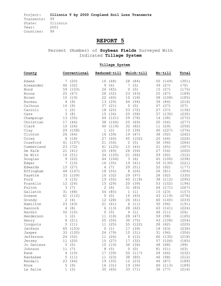# **REPORT 5**

Percent (Number) of **Soybean Fields** Surveyed With Indicated **Tillage System** 

| County        | Conventional           | Reduced-till       | Mulch-till              | No-till                   | Total |
|---------------|------------------------|--------------------|-------------------------|---------------------------|-------|
| Adams         | (20)<br>7              | (48)<br>16         | 28<br>(84)              | 50<br>(149)               | (301) |
| Alexander     | 46<br>(32)             | (6)<br>9           | 7<br>(5)                | 39<br>(27)                | (70)  |
| Bond          | 59<br>(103)            | 26<br>(45)         | $\circ$<br>(0)          | 15<br>(27)                | (175) |
| Boone         | 25<br>(47)             | (52)<br>28         | (43)<br>23              | 25<br>(47)                | (189) |
| Brown         | 10<br>(19)             | 22<br>(40)         | (18)<br>10              | 58<br>(108)               | (185) |
| <b>Bureau</b> | (9)<br>4               | 13<br>(29)         | (94)<br>44              | 39<br>(84)                | (216) |
| Calhoun       | (9)<br>16              | (21)<br>37         | (0)<br>0                | (27)<br>47                | (57)  |
| Carroll       | (2)<br>1               | 18<br>(25)         | 53<br>(72)              | 27<br>(37)                | (136) |
| Cass          | 3<br>(8)               | 15<br>(34)         | (58)<br>25              | (130)<br>57               | (230) |
| Champaign     | 13<br>(35)             | (121)<br>44        | 29<br>(78)              | (38)<br>14                | (272) |
| Christian     | (46)<br>17             | 38<br>(106)        | 25<br>(69)              | 20<br>(56)                | (277) |
| Clark         | 10<br>(26)             | (119)<br>46        | 32<br>(82)              | (29)<br>11                | (256) |
| Clay          | 29<br>(108)            | (2)<br>1           | (39)<br>10              | (227)<br>60               |       |
| Clinton       | (64)<br>26             | (39)<br>16         | (47)<br>19              | 38                        | (376) |
| Coles         | 8<br>(18)              | 27                 |                         | (92)<br>20                | (242) |
| Crawford      | (107)<br>41            | (60)<br>21<br>(56) | 45<br>(102)<br>2<br>(5) | (46)<br>36                | (226) |
| Cumberland    | (72)                   |                    | 15                      | (96)                      | (264) |
|               | 23<br>(41)             | 41<br>(125)        | (45)<br>28<br>(56)      | 21<br>(65)<br>(54)        | (307) |
| De Kalb       | 21                     | 25<br>(49)         |                         | 27                        | (200) |
| De Witt       | (51)<br>16             | 34<br>(105)        | 21<br>(66)              | 29<br>(90)                | (312) |
| Douglas       | (22)<br>9              | 44<br>(104)        | (6)<br>3                | (106)<br>45               | (238) |
| Edgar         | 7<br>(15)              | (35)<br>16         | 19<br>(41)              | 59<br>(130)               | (221) |
| Edwards       | (27)<br>15             | (7)<br>4           | 29<br>(51)              | 52<br>(92)                | (177) |
| Effingham     | 48<br>(147)            | 18<br>(55)         | 8<br>(26)               | 26<br>(81)                | (309) |
| Fayette       | 33<br>(109)            | (32)<br>10         | 29<br>(97)              | 28<br>(92)                | (330) |
| Ford          | 3<br>(10)              | 19<br>(55)         | (118)<br>40             | (112)<br>38               | (295) |
| Franklin      | 12<br>(24)             | 15<br>(29)         | 20<br>(39)              | 53<br>(102)               | (194) |
| Fulton        | (7)<br>3               | 2<br>(6)           | 31<br>(83)              | (171)<br>64               | (267) |
| Gallatin      | (48)<br>31             | 54<br>(85)         | (1)<br>1                | (23)<br>15                | (157) |
| Greene        | 41<br>(112)            | 0<br>(0)           | (45)<br>16              | (119)<br>43               | (276) |
| Grundy        | 2<br>(4)               | 12<br>(28)         | (61)<br>26              | (140)<br>60               | (233) |
| Hamilton      | 23<br>(43)             | 21<br>(41)         | 6<br>(11)               | 50<br>(96)                | (191) |
| Hancock       | (8)<br>4               | 6<br>(13)          | 28<br>(62)              | 63<br>(141)               | (224) |
| Hardin        | 50<br>(12)             | (0)<br>0           | 4<br>(1)<br>(47)        | 46<br>(11)                | (24)  |
| Henderson     | (2)<br>1<br>(21)       | 11<br>(18)         | 28                      | (98)<br>59                | (165) |
| Henry         | 8<br>5                 | 20<br>(50)<br>11   | 30<br>(75)<br>55        | 43<br>(108)<br>28<br>(62) | (254) |
| Iroquois      | (11)<br>(153)          | (25)               | (122)<br>(39)           |                           | (220) |
| Jackson       | 65                     | 0<br>(1)           | 17                      | 18<br>(43)                | (236) |
| Jasper        | 33 (100)               | 26 (79)            | 10 (31)                 | 31 (96)                   | (306) |
| Jefferson     | 24 (52)                | 11 (24)            | 6(12)                   | 60 (130)<br>57 (106)      | (218) |
| Jersey        | 11 (20)                | 15 (27)            | 17 (32)                 |                           | (185) |
| Jo Daviess    | 5<br>(5)               | 10<br>(10)         | 36 (36)                 | 48<br>(48)                | (99)  |
| Johnson       | (7)<br>11              | 8<br>(5)           | (0)<br>0                | 81<br>(51)                | (63)  |
| Kane          | $\overline{4}$<br>(10) | 17 (39)            | 50 (117)                | 28<br>(66)                | (232) |
| Kankakee      | 5(11)                  | 11 (23)            | 38 (80)                 | 46 (98)                   | (212) |
| Kendall       | 23 (44)                | 19 (35)            | 12 (23)                 | 46 (87)                   | (189) |
| Knox          | 5<br>(9)               | 16 (31)            | 19 (36)                 | 60 (113)                  | (189) |
| La Salle      | 1<br>(3)               | 30 (65)            | 33 (71)                 | 36 (77)                   | (216) |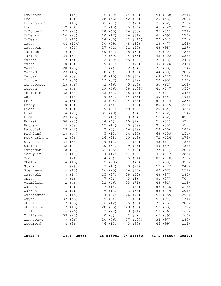| Lawrence    | 6  | (14)        | 16 | (40)    | 24           | (62)                  | 54 | (138)    | (254)               |
|-------------|----|-------------|----|---------|--------------|-----------------------|----|----------|---------------------|
| Lee         | 1  | (2)         | 28 | (56)    | 42           | (84)                  | 29 | (58)     | (200)               |
| Livingston  | 6  | (13)        | 32 | (67)    | 37           | (78)                  | 25 | (52)     | (210)               |
| Logan       | 2  | (5)         | 17 | (48)    | 35           | (96)                  | 46 | (129)    | (278)               |
| McDonough   | 12 | (28)        | 28 | (65)    | 26           | (60)                  | 35 | (81)     | (234)               |
| McHenry     | 14 | (23)        | 10 | (17)    | 36           | (61)                  | 41 | (69)     | (170)               |
| McLean      | 5  | (11)        | 14 | (30)    | 52           | (116)                 | 29 | (64)     | (221)               |
| Macon       | 44 | (114)       | 30 | (79)    | 8            | (22)                  | 18 | (47)     | (262)               |
| Macoupin    | 9  | (21)        | 27 | (61)    | 21           | (47)                  | 43 | (98)     | (227)               |
| Madison     | 19 | (24)        | 40 | (51)    | 25           | (32)                  | 16 | (20)     | (127)               |
| Marion      | 26 | (61)        | 17 | (39)    | 14           | (33)                  | 43 | (102)    | (235)               |
| Marshall    | 2  | (5)         | 12 | (30)    | 55           | (136)                 | 31 | (78)     | (249)               |
| Mason       | 0  | (0)         | 19 | (47)    | 31           | (76)                  | 49 | (120)    | (243)               |
| Massac      | 20 | (25)        | 3  | (4)     | 2            | (2)                   | 75 | (93)     | (124)               |
| Menard      | 23 | (46)        | 0  | (0)     | 33           | (67)                  | 44 | (90)     | (203)               |
| Mercer      | 0  | (0)         | 8  | (15)    | 28           | (54)                  | 64 | (125)    | (194)               |
| Monroe      | 19 | (36)        | 19 | (37)    | 12           | (22)                  | 50 | (95)     | (190)               |
| Montgomery  | 23 | (46)        | 42 | (86)    | 5            | (10)                  | 30 | (61)     | (203)               |
| Morgan      | 1  | (4)         | 19 | (66)    | 39           | (138)                 | 41 | (147)    | (355)               |
| Moultrie    | 22 | (54)        | 33 | (82)    | 28           | (70)                  | 17 | (41)     | (247)               |
| Ogle        | 7  | (13)        | 19 | (37)    | 44           | (86)                  | 30 | (58)     | (194)               |
| Peoria      | 3  | (6)         | 13 | (28)    | 34           | (75)                  | 51 | (114)    | (223)               |
| Perry       | 0  | (0)         | 2  | (5)     | 17           | (39)                  | 80 | (179)    | (223)               |
| Piatt       | 3  | (9)         | 19 | (61)    | 59           | (189)                 | 20 | (64)     | (323)               |
| Pike        | 14 | (21)        | 32 | (49)    | $\mathbf 1$  | (2)                   | 53 | (82)     | (154)               |
| Pope        | 29 | (26)        | 12 | (11)    | 0            | (0)                   | 58 | (52)     | (89)                |
| Pulaski     | 30 | (28)        | 4  | (4)     | 10           | (9)                   | 56 | (52)     | (93)                |
| Putnam      | 5  | (5)         | 15 | (14)    | 43           | (39)                  | 36 | (33)     | (91)                |
| Randolph    | 23 | (42)        | 3  | (5)     | 16           | (29)                  | 58 | (106)    | (182)               |
| Richland    | 18 | (44)        | 5  | (13)    | 14           | (35)                  | 63 | (159)    | (251)               |
| Rock Island | 2  | (3)         | 16 | (28)    | 10           | (18)                  | 72 | (124)    | (173)               |
| St. Clair   | 24 | (33)        | 9  | (12)    | 21           | (29)                  | 45 | (61)     | (135)               |
| Saline      | 22 | (40)        | 20 | (37)    | 9            | (16)                  | 49 | (89)     | (182)               |
| Sangamon    | 18 | (37)        | 31 | (65)    | 14           | (30)                  | 37 | (77)     | (209)               |
| Schuyler    | 4  | (10)        | 4  | (12)    | 51           | (143)                 | 41 | (117)    | (282)               |
| Scott       | 1  | (2)         | 4  | (9)     | 15           | (31)                  | 80 | (170)    | (212)               |
| Shelby      | 4  | (16)        | 75 | (295)   | 11           | (43)                  | 10 | (38)     | (392)               |
| Stark       | 1  | (2)         | 7  | (17)    | 40           | (96)                  | 52 | (127)    | (242)               |
| Stephenson  | 6  | (10)        | 16 | (25)    | 36           | (57)                  | 42 | (67)     | (159)               |
| Tazewell    |    | 8(14)       |    | 15 (27) |              | 29 (52)               |    | 48 (87)  | (180)               |
| Union       |    | 9(6)        |    | 7(5)    |              | 3(2)                  |    | 81 (57)  | (70)                |
| Vermilion   |    | 2(4)        |    | 22 (46) |              | 33 (71)               |    | 43 (91)  | (212)               |
| Wabash      | 1  | (2)         | 7  | (14)    | 37           | (79)                  |    | 56 (120) | (215)               |
| Warren      | 3  | (7)         | 6  | (13)    | 32           | (65)                  |    | 58 (119) | (204)               |
| Washington  |    | 5(15)       |    | 14 (42) |              | 26 (74)               |    | 55 (159) | (290)               |
| Wayne       |    | 32 (56)     | 5  | (9)     | 7            | (12)                  |    | 56 (97)  | (174)               |
| White       |    | 17 (36)     | 6  | (12)    | 5            | (10)                  |    | 72 (151) | (209)               |
| Whiteside   | 7  | (13)        |    | 20 (35) |              | 20 (35)               |    | 53 (93)  | (176)               |
| Will        |    | 16 (26)     |    | 17 (28) | 13           | (21)                  |    | 53 (86)  | (161)               |
| Williamson  |    | 33 (20)     | 0  | (0)     | $\mathbf{2}$ | (1)                   |    | 65 (39)  | (60)                |
| Winnebago   |    | 9(26)       |    | 20 (56) |              | 37 (107)              |    | 34 (97)  | (286)               |
| Woodford    |    | 4(9)        |    | 6 (13)  |              | 43 (93)               |    | 46 (99)  | (214)               |
|             |    |             |    |         |              |                       |    |          |                     |
| Total %:    |    | 14.2 (2966) |    |         |              | 18.9(3951) 24.8(5180) |    |          | 42.1 (8800) (20897) |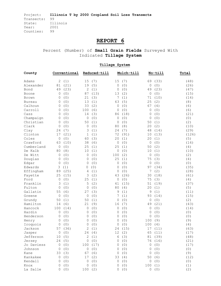# **REPORT 6**

Percent (Number) of **Small Grain Fields** Surveyed With Indicated **Tillage System** 

| County        |             | Conventional |              | Reduced-till |             | Mulch-till |             | No-till | Total |
|---------------|-------------|--------------|--------------|--------------|-------------|------------|-------------|---------|-------|
| Adams         | 2           | (1)          | 15           | (7)          | 15          | (7)        | 69          | (33)    | (48)  |
| Alexander     | 81          | (21)         | 19           | (5)          | $\mathbf 0$ | (0)        | 0           | (0)     | (26)  |
| Bond          | 49          | (23)         | 2            | (1)          | 0           | (0)        | 49          | (23)    | (47)  |
| Boone         | 0           | (0)          | 87           | (13)         | 13          | (2)        | 0           | (0)     | (15)  |
| Brown         | 0           | (0)          | 21           | (3)          | 7           | (1)        | 71          | (10)    | (14)  |
| <b>Bureau</b> | 0           | (0)          | 13           | (1)          | 63          | (5)        | 25          | (2)     | (8)   |
| Calhoun       | 0           | (0)          | 33           | (2)          | 0           | (0)        | 67          | (4)     | (6)   |
| Carroll       | 0           | (0)          | 100          | (6)          | 0           | (0)        | 0           | (0)     | (6)   |
| Cass          | 0           | (0)          | 14           | (3)          | 86          | (18)       | 0           | (0)     | (21)  |
| Champaign     | $\Omega$    | (0)          | 0            | (0)          | 0           | (0)        | 0           | (0)     | (0)   |
| Christian     | $\Omega$    | (0)          | 50           | (1)          | 0           | (0)        | 50          | (1)     | (2)   |
| Clark         | 0           | (0)          | 0            | (0)          | 80          | (8)        | 20          | (2)     | (10)  |
| Clay          | 24          | (7)          | 3            | (1)          | 24          | (7)        | 48          | (14)    | (29)  |
| Clinton       | 17          | (21)         | 1            | (1)          | 72          | (91)       | 10          | (13)    | (126) |
| Coles         | 0           | (0)          | 60           | (3)          | 20          | (1)        | 20          | (1)     | (5)   |
| Crawford      | 63          | (10)         | 38           | (6)          | 0           | (0)        | 0           | (0)     | (16)  |
| Cumberland    | 0           | (0)          | 25           | (1)          | 25          | (1)        | 50          | (2)     | (4)   |
| De Kalb       | 80          | (8)          | 10           | (1)          | 0           | (0)        | 10          | (1)     | (10)  |
| De Witt       | 0           | (0)          | 0            | (0)          | 100         | (2)        | 0           | (0)     | (2)   |
| Douglas       | $\Omega$    | (0)          | 0            | (0)          | 25          | (1)        | 75          | (3)     | (4)   |
| Edgar         | $\Omega$    | (0)          | $\Omega$     | (0)          | 0           | (0)        | 0           | (0)     | (0)   |
| Edwards       | 3           | (1)          | 0            | (0)          | 0           | (0)        | 97          | (34)    | (35)  |
| Effingham     | 89          | (25)         | 4            | (1)          | 0           | (0)        | 7           | (2)     | (28)  |
| Fayette       | 25          | (15)         | 3            | (2)          | 43          | (26)       | 30          | (18)    | (61)  |
| Ford          | 0           | (0)          | 25           | (1)          | 0           | (0)        | 75          | (3)     | (4)   |
| Franklin      | 3           | (1)          | 5            | (2)          | 41          | (15)       | 51          | (19)    | (37)  |
| Fulton        | 0           | (0)          | 0            | (0)          | 80          | (4)        | 20          | (1)     | (5)   |
| Gallatin      | 55          | (6)          | 27           | (3)          | 9           | (1)        | 9           | (1)     | (11)  |
| Greene        | 0           | (0)          | $\mathbf{0}$ | (0)          | 7           | (1)        | 93          | (14)    | (15)  |
| Grundy        | 50          | (1)          | 50           | (1)          | 0           | (0)        | 0           | (0)     | (2)   |
| Hamilton      | 14          | (6)          | 21           | (9)          | 16          | (7)        | 49          | (21)    | (43)  |
| Hancock       | 100         | (14)         | 0            | (0)          | 0           | (0)        | 0           | (0)     | (14)  |
| Hardin        | 0           | (0)          | 0            | (0)          | 0           | (0)        | 0           | (0)     | (0)   |
| Henderson     | 0           | (0)          | 0            | (0)          | 0           | (0)        | 0           | (0)     | (0)   |
| Henry         | 0           | (0)          | 0            | (0)          | 0           | (0)        | 100         | (9)     | (9)   |
| Iroquois      | 0           | (0)          | $\Omega$     | (0)          | 0           | (0)        | 100         | (4)     | (4)   |
| Jackson       | 57          | (36)         | 2            | (1)          | 24          | (15)       | 17          | (11)    | (63)  |
| Jasper        |             | 0 (0)        |              | 24(4)        |             | 12(2)      |             | 65 (11) | (17)  |
| Jefferson     |             | 10(5)        |              | 2(1)         | 6           | (3)        |             | 81 (39) | (48)  |
| Jersey        |             | 24(5)        |              | 0(0)         | 0           | (0)        |             | 76 (16) | (21)  |
| Jo Daviess    | 0           | (0)          | 100          | (17)         | 0           | (0)        | 0           | (0)     | (17)  |
| Johnson       | 0           | (0)          | 0            | (0)          | 0           | (0)        | 0           | (0)     | (0)   |
| Kane          | 33          | (3)          | 67           | (6)          | 0           | (0)        | $\mathbf 0$ | (0)     | (9)   |
| Kankakee      | $\mathbf 0$ | (0)          | 17           | (2)          | 33          | (4)        | 50          | (6)     | (12)  |
| Kendall       | 0           | (0)          | $\mathbf 0$  | (0)          | 0           | (0)        | 0           | (0)     | (0)   |
| Knox          | 0           | (0)          | $\mathbb O$  | (0)          | 0           | (0)        | 100         | (1)     | (1)   |
| La Salle      | 0           | (0)          | 100(2)       |              | 0           | (0)        |             | 0(0)    | (2)   |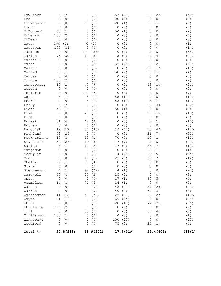| Lawrence    | 4       | (2)       | 2            | (1)       | 53  | (28)      | 42      | (22)       | (53)   |  |
|-------------|---------|-----------|--------------|-----------|-----|-----------|---------|------------|--------|--|
| Lee         | 0       | (0)       | $\mathbf 0$  | (0)       | 100 | (2)       | 0       | (0)        | (2)    |  |
| Livingston  | 0       | (0)       | 60           | (3)       | 20  | (1)       | 20      | (1)        | (5)    |  |
| Logan       | 0       | (0)       | 0            | (0)       | 0   | (0)       | 0       | (0)        | (0)    |  |
| McDonough   | 50      | (1)       | 0            | (0)       | 50  | (1)       | 0       | (0)        | (2)    |  |
| McHenry     | 100     | (7)       | 0            | (0)       | 0   | (0)       | 0       | (0)        | (7)    |  |
| McLean      | 0       | (0)       | 0            | (0)       | 0   | (0)       | 0       | (0)        | (0)    |  |
| Macon       | 100     | (1)       | 0            | (0)       | 0   | (0)       | 0       | (0)        | (1)    |  |
| Macoupin    | 100     | (14)      | 0            | (0)       | 0   | (0)       | 0       | (0)        | (14)   |  |
| Madison     | 0       | (0)       | 100          | (35)      | 0   | (0)       | 0       | (0)        | (35)   |  |
| Marion      | 73      | (30)      | 12           | (5)       | 5   | (2)       | 10      | (4)        | (41)   |  |
| Marshall    | 0       | (0)       | $\mathbf{0}$ | (0)       | 0   | (0)       | 0       | (0)        | (0)    |  |
| Mason       | 0       | (0)       | 7            | (2)       | 86  | (25)      | 7       | (2)        | (29)   |  |
| Massac      | 0       | (0)       | 0            | (0)       | 0   | (0)       | 100     | (17)       | (17)   |  |
| Menard      | 25      | (1)       | 0            | (0)       | 50  | (2)       | 25      | (1)        | (4)    |  |
| Mercer      | 0       | (0)       | 0            | (0)       | 0   | (0)       | 0       | (0)        | (0)    |  |
| Monroe      | 100     | (2)       | 0            | (0)       | 0   | (0)       | 0       | (0)        | (2)    |  |
| Montgomery  | 10      | (2)       | 43           | (9)       | 0   | (0)       | 48      | (10)       | (21)   |  |
| Morgan      | 0       | (0)       | $\mathbf{0}$ | (0)       | 0   | (0)       | 0       | (0)        | (0)    |  |
| Moultrie    | 0       | (0)       | 100          | (7)       | 0   | (0)       | 0       | (0)        | (7)    |  |
| Ogle        | 8       | (1)       | 8            | (1)       | 85  | (11)      | 0       | (0)        | (13)   |  |
| Peoria      | 0       | (0)       | 8            | (1)       | 83  | (10)      | 8       | (1)        | (12)   |  |
| Perry       | 4       | (2)       | 0            | (0)       | 0   | (0)       | 96      | (44)       | (46)   |  |
| Piatt       | 50      | (1)       | 0            | (0)       | 50  | (1)       | 0       | (0)        | (2)    |  |
| Pike        | 0       | (0)       | 20           | (3)       | 0   | (0)       | 80      | (12)       | (15)   |  |
| Pope        | 0       | (0)       | 0            | (0)       | 0   | (0)       | 0       | (0)        | (0)    |  |
| Pulaski     | 31      | (4)       | 62           | (8)       | 0   | (0)       | 8       | (1)        | (13)   |  |
| Putnam      | 0       | (0)       | 0            | (0)       | 0   | (0)       | 0       | (0)        | (0)    |  |
| Randolph    | 12      | (17)      | 30           | (43)      | 29  | (42)      | 30      | (43)       | (145)  |  |
| Richland    | 79      | (26)      | 0            | (0)       | 0   | (0)       | 21      | (7)        | (33)   |  |
| Rock Island | 10      | (1)       | 10           | (1)       | 70  | (7)       | 10      | (1)        | (10)   |  |
| St. Clair   | 64      | (27)      | 19           | (8)       | 17  | (7)       | 0       | (0)        | (42)   |  |
| Saline      | 8       | (1)       | 17           | (2)       | 17  | (2)       | 58      | (7)        | (12)   |  |
| Sangamon    | 0       | (0)       | $\mathbf{0}$ | (0)       | 0   | (0)       | 100     | (1)        | (1)    |  |
| Schuyler    | 0       | (0)       | 0            | (0)       | 74  | (25)      | 26      | (9)        | (34)   |  |
| Scott       | 0       | (0)       | 17           | (2)       | 25  | (3)       | 58      | (7)        | (12)   |  |
| Shelby      | 20      | (1)       | 80           | (4)       | 0   | (0)       | 0       | (0)        | (5)    |  |
| Stark       | 0       | (0)       | 0            | (0)       | 0   | (0)       | 0       | (0)        | (0)    |  |
| Stephenson  | 4       | (1)       | 92           | (22)      | 4   | (1)       | 0       | (0)        | (24)   |  |
| Tazewell    |         | 50(4)     |              | 25(2)     |     | 25 (2)    |         | 0 (0)      | (8)    |  |
| Union       |         | 0(0)      |              | 0(0)      |     | 17(1)     |         | 83 (5)     | (6)    |  |
| Vermilion   |         | 14(1)     |              | 71(5)     | 14  | (1)       | 0       | (0)        | (7)    |  |
| Wabash      | 0       | (0)       | 0            | (0)       | 43  | (21)      | 57      | (28)       | (49)   |  |
| Warren      | 0       | (0)       | 0            | (0)       | 40  | (2)       | 60      | (3)        | (5)    |  |
| Washington  |         | 11 (18)   | 48           | (79)      | 25  | (41)      | 16      | (27)       | (165)  |  |
| Wayne       |         | 31 (11)   | 0            | (0)       | 69  | (24)      | 0       | (0)        | (35)   |  |
| White       | $\circ$ | (0)       | 0            | (0)       | 28  | (10)      | 72      | (26)       | (36)   |  |
| Whiteside   | 100(2)  |           | 0            | (0)       | 0   | (0)       | 0       | (0)        | (2)    |  |
| Will        | 0       | (0)       | 33           | (2)       | 0   | (0)       | 67      | (4)        | (6)    |  |
| Williamson  | 100(1)  |           | 0            | (0)       | 0   | (0)       | $\circ$ | (0)        | (1)    |  |
| Winnebago   |         | 0(0)      | $\circ$      | (0)       | 100 | (22)      | 0       | (0)        | (22)   |  |
| Woodford    | 0       | (0)       | 0            | (0)       |     | 75 (3)    |         | 25(1)      | (4)    |  |
| Total %:    |         | 20.8(388) |              | 18.9(352) |     | 27.9(519) |         | 32.4 (603) | (1862) |  |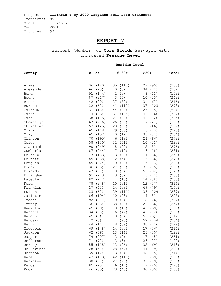# **REPORT 7**

Percent (Number) of **Corn Fields** Surveyed With Indicated **Residue Level** 

|               |              |          |            | Residue Level |              |         |       |
|---------------|--------------|----------|------------|---------------|--------------|---------|-------|
| County        | $0 - 15%$    |          |            | $16 - 30%$    | >30%         |         | Total |
|               |              |          |            |               |              |         |       |
| Adams         | 36           | (120)    | 35         | (118)         |              | 29 (95) | (333) |
| Alexander     | 66           | (23)     | $\circ$    | (0)           | 34           | (12)    | (35)  |
| Bond          | 91           | (144)    | $\sqrt{2}$ | (3)           | 8            | (12)    | (159) |
| Boone         | 87           | (217)    | 3          | (7)           | 10           | (25)    | (249) |
| Brown         | 42           | (90)     | 27         | (59)          | 31           | (67)    | (216) |
| <b>Bureau</b> | 22           | (62)     | 41         | (113)         | 37           | (103)   | (278) |
| Calhoun       | 31           | (18)     | 44         | (26)          | 25           | (15)    | (59)  |
| Carroll       | 14           | (46)     | 37         | (125)         | 49           | (166)   | (337) |
| Cass          | 38           | (115)    | 21         | (64)          | 41           | (126)   | (305) |
| Champaign     | 67           | (216)    | 26         | (83)          | 7            | (21)    | (320) |
| Christian     | 53           | (125)    | 28         | (66)          | 19           | (46)    | (237) |
| Clark         | 65           | (148)    | 29         | (65)          | 6            | (13)    | (226) |
| Clay          | 65           | (152)    | $\circ$    | (1)           | 35           | (81)    | (234) |
| Clinton       | 70           | (195)    | 6          | (18)          | 24           | (66)    | (279) |
| Coles         | 58           | (130)    | 32         | (71)          | 10           | (22)    | (223) |
| Crawford      | 90           | (249)    | 8          | (22)          | $\mathbf{2}$ | (5)     | (276) |
| Cumberland    | 87           | (244)    | 7          | (19)          | 6            | (18)    | (281) |
| De Kalb       | 73           | (183)    | 13         | (33)          | 14           | (36)    | (252) |
| De Witt       | 85           | (238)    | 2          | (5)           | 13           | (36)    | (279) |
| Douglas       | 85           | (224)    | 10         | (26)          | $\mathsf S$  | (13)    | (263) |
| Edgar         | 36           | (85)     | 27         | (63)          | 36           | (85)    | (233) |
| Edwards       | 47           | (81)     | $\circ$    | (0)           | 53           | (92)    | (173) |
| Effingham     | 91           | (213)    | 3          | (8)           | 5            | (12)    | (233) |
| Fayette       | 82           | (217)    | 4          | (10)          | 14           | (38)    | (265) |
| Ford          | 78           | (248)    | 10         | (31)          | 12           | (37)    | (316) |
| Franklin      | 27           | (43)     | 24         | (38)          | 49           | (79)    | (160) |
| Fulton        | 23           | (67)     | 39         | (111)         | 38           | (109)   | (287) |
| Gallatin      | 86           | (194)    | 10         | (23)          | 4            | (8)     | (225) |
| Greene        | 92           | (311)    | $\circ$    | (0)           | 8            | (26)    | (337) |
| Grundy        | 36           | (93)     | 38         | (98)          | 26           | (66)    | (257) |
| Hamilton      | 45           | (69)     | 10         | (15)          | 45           | (69)    | (153) |
| Hancock       | 34           | (88)     | 16         | (42)          | 49           | (126)   | (256) |
| Hardin        | 45           | (5)      | $\circ$    | (0)           | 55           | (6)     | (11)  |
| Henderson     | $\mathbf{2}$ | (5)      | 41         | (95)          | 57           | (134)   | (234) |
| Henry         | 44           | (144)    | 18         | (59)          | 38           | (126)   | (329) |
| Iroquois      |              | 69 (148) |            | 14 (30)       |              | 17 (36) | (214) |
| Jackson       |              | 62 (76)  |            | 13 (16)       |              | 25 (30) | (122) |
| Jasper        | 79           | (207)    | 3          | (9)           |              | 17 (45) | (261) |
| Jefferson     |              | 71 (72)  |            | 3(3)          |              | 26 (27) | (102) |
| Jersey        | 55           | (118)    |            | 12 (26)       |              | 32 (69) | (213) |
| Jo Daviess    | 28           | (57)     |            | 28 (57)       | 44           | (89)    | (203) |
| Johnson       | 39           | (12)     |            | 13(4)         | 48           | (15)    | (31)  |
| Kane          | 43           | (113)    |            | 42 (111)      |              | 15 (39) | (263) |
| Kankakee      | 38           | (97)     |            | 27 (70)       | 35           | (89)    | (256) |
| Kendall       | 85           | (234)    |            | 6(17)         |              | 9(25)   | (276) |
| Knox          |              | 46 (85)  |            | 23 (43)       |              | 30 (55) | (183) |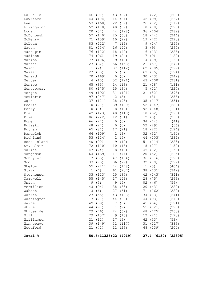| Total %:    |             |                 |             | 50.6(11326)22 (4919) |              | 27.4 (6150) (22395) |       |
|-------------|-------------|-----------------|-------------|----------------------|--------------|---------------------|-------|
| Woodford    |             | 21 (42)         |             | 11(23)               |              | 68 (139)            | (204) |
| Winnebago   |             | 39 (149)        |             | 31 (117)             |              | 31 (117)            | (383) |
|             |             |                 |             |                      |              |                     | (53)  |
| Williamson  |             | 21 (11)         |             | 17 (9)               |              | 62 (33)             |       |
| Will        |             | 79 (137) 9 (15) |             |                      |              | 12 (21)             | (173) |
| Whiteside   |             | 29 (76)         |             | 24 (62)              |              | 48 (125)            | (263) |
| White       |             | 44 (97)         |             | 1(2)                 |              | 55 (121)            | (220) |
| Wayne       |             | 49 (59)         |             | 7 (8)                |              | 45 (54)             | (121) |
| Washington  |             | 13 (27)         |             | 44 (93)              |              | 44 (93)             | (213) |
| Warren      |             | 23 (55)         |             | 43 (103)             |              | 34 (83)             | (241) |
| Wabash      |             | 3(6)            |             | 27 (61)              |              | 71 (162)            | (229) |
| Vermilion   |             | 43 (94)         |             | 38 (83)              |              | 20 (43)             | (220) |
| Union       |             |                 |             | 9 (5) 9 (5) 82 (46)  |              |                     | (56)  |
| Tazewell    |             | 55 (145)        |             | 17 (46)              |              | 28 (75)             | (266) |
| Stephenson  |             | 33 (113)        |             | 25 (85)              |              | 42 (143)            | (341) |
| Stark       | $\mathbf 1$ | (4)             | 61          | (207)                | 38           | (131)               | (342) |
| Shelby      | 55          | (221)           | 44          | (178)                | $1\,$        | (5)                 | (404) |
| Scott       | 33          | (73)            | 36          | (79)                 | 32           | (70)                | (222) |
| Schuyler    | 17          | (55)            | 47          | (154)                | 36           | (116)               | (325) |
| Sangamon    | 64          | (169)           | 17          | (44)                 | 20           | (52)                | (265) |
| Saline      | 47          | (74)            | 8           | (13)                 | 45           | (72)                | (159) |
| St. Clair   | 72          | (110)           | 10          | (15)                 | 18           | (27)                | (152) |
| Rock Island | 40          | (90)            | 9           | (19)                 | 51           | (114)               | (223) |
| Richland    | 53          | (124)           | $\sqrt{2}$  | (5)                  | 44           | (103)               | (232) |
| Randolph    | 66          | (109)           | $\sqrt{2}$  | (3)                  | 32           | (52)                | (164) |
| Putnam      | 65          | (81)            | 17          | (21)                 | 18           | (22)                | (124) |
|             |             |                 | 0           |                      |              |                     |       |
| Pulaski     | 48          | (27)            |             | (0)                  | 52           | (29)                | (56)  |
| Pope        | 66          | (27)            | 0           | (0)                  | 34           | (14)                | (41)  |
| Pike        | 86          | (222)           | 12          | (31)                 | $\mathbf{2}$ | (5)                 | (258) |
| Piatt       | 42          | (123)           | 40          | (118)                | 18           | (52)                | (293) |
| Perry       | 0           | (0)             | 8           | (13)                 | 92           | (148)               | (161) |
| Peoria      | 10          | (27)            | 39          | (109)                | 52           | (147)               | (283) |
| Ogle        | 37          | (121)           | 28          | (93)                 | 35           | (117)               | (331) |
| Moultrie    | 97          | (247)           | $\sqrt{2}$  | (5)                  | $\mathbf 1$  | (3)                 | (255) |
| Morgan      | 49          | (192)           | 31          | (121)                | 21           | (82)                | (395) |
| Montgomery  | 80          | (175)           | 15          | (34)                 | 5            | (11)                | (220) |
| Monroe      | 65          | (85)            | 14          | (18)                 | 21           | (28)                | (131) |
| Mercer      | 4           | (10)            | 52          | (121)                | 43           | (100)               | (231) |
| Menard      | 70          | (169)           | 0           | (0)                  | 30           | (73)                | (242) |
| Massac      | 27          | (33)            | 5           | (6)                  | 69           | (85)                | (124) |
| Mason       | $\mathbf 1$ | (2)             | 37          | (112)                | 62           | (185)               | (299) |
| Marshall    | 23          | (62)            | 56          | (153)                | 21           | (57)                | (272) |
| Marion      | 77          | (106)           | $\mathsf 9$ | (13)                 | 14           | (19)                | (138) |
| Madison     | 74          | (96)            | 19          | (24)                 | 7            | (9)                 | (129) |
| Macoupin    | 76          | (172)           | 18          | (40)                 | 6            | (13)                | (225) |
| Macon       | 81          | (234)           | 16          | (47)                 | 3            | (9)                 | (290) |
| McLean      | 83          | (212)           | 7           | (19)                 | 9            | (24)                | (255) |
| McHenry     | 71          | (159)           | 10          | (22)                 | 19           | (42)                | (223) |
| McDonough   | 57          | (140)           | 25          | (60)                 | 18           | (44)                | (244) |
| Logan       | 20          | (57)            | 44          | (128)                | 36           | (104)               | (289) |
| Livingston  | 52          | (118)           | 40          | (89)                 | 8            | (18)                | (225) |
| Lee         | 53          | (168)           | 22          | (69)                 | 26           | (82)                | (319) |
| Lawrence    | 44          | (104)           | 14          | (34)                 | 42           | (99)                | (237) |
| La Salle    | 46          | (91)            | 43          | (87)                 | 11           | (22)                | (200) |
|             |             |                 |             |                      |              |                     |       |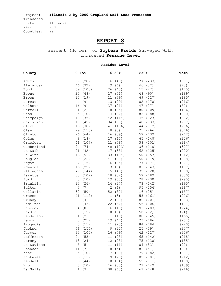### **REPORT 8**

Percent (Number) of **Soybean Fields** Surveyed With Indicated **Residue Level** 

**Residue Level**

| County        | $0 - 15%$           | $16 - 30%$         | 230%        | Total |
|---------------|---------------------|--------------------|-------------|-------|
| Adams         | (20)<br>7           | (48)<br>16         | 77<br>(233) | (301) |
| Alexander     | 46<br>(32)          | 9<br>(6)           | (32)<br>46  | (70)  |
| Bond          | 59<br>(103)         | 26<br>(45)         | (27)<br>15  | (175) |
| Boone         | 25<br>(48)          | (51)<br>27         | 48<br>(90)  | (189) |
| Brown         | 10<br>(19)          | 21<br>(39)         | 69<br>(127) | (185) |
| <b>Bureau</b> | 4<br>(9)            | 13<br>(29)         | 82<br>(178) | (216) |
| Calhoun       | 16<br>(9)           | (21)<br>37         | (27)<br>47  | (57)  |
| Carroll       | (2)<br>1            | 18<br>(25)         | 80<br>(109) | (136) |
| Cass          | 4<br>(10)           | (32)<br>14         | 82<br>(188) | (230) |
| Champaign     | 13<br>(35)          | 42<br>(114)        | 45<br>(123) | (272) |
| Christian     | 18<br>(49)          | 34<br>(95)         | 48<br>(133) | (277) |
| Clark         | 15<br>(38)          | (106)<br>41        | (112)<br>44 | (256) |
| Clay          | 29<br>(110)         | (0)<br>0           | (266)<br>71 | (376) |
| Clinton       | 26<br>(64)          | (39)<br>16         | 57<br>(139) | (242) |
| Coles         | 8<br>(18)           | 27<br>(60)         | 65<br>(148) | (226) |
| Crawford      | 41<br>(107)         | 21<br>(56)         | 38<br>(101) | (264) |
| Cumberland    | 24<br>(74)          | 40<br>(123)        | 36<br>(110) | (307) |
| De Kalb       | (42)<br>21          | (33)<br>17         | 62<br>(125) | (200) |
| De Witt       | 16<br>(51)          | 33<br>(104)        | 50<br>(157) | (312) |
| Douglas       | 9<br>(22)           | 41<br>(97)         | 50<br>(119) | (238) |
| Edgar         | 7<br>(15)           | (35)<br>16         | (171)<br>77 | (221) |
| Edwards       | 16<br>(29)          | $\mathsf 3$<br>(5) | (143)<br>81 | (177) |
| Effingham     | 47<br>(144)         | 15<br>(45)         | 39<br>(120) | (309) |
| Fayette       | 33<br>(109)         | (32)<br>10         | (189)<br>57 | (330) |
| Ford          | 3<br>(10)           | (55)<br>19         | 78<br>(230) | (295) |
| Franklin      | 13<br>(26)          | 14<br>(27)         | 73<br>(142) | (195) |
| Fulton        | 3<br>(7)            | 2<br>(6)           | 95<br>(254) | (267) |
| Gallatin      | 32<br>(50)          | 52<br>(82)         | (25)<br>16  | (157) |
| Greene        | (112)<br>41         | $\mathbf 1$<br>(3) | 58<br>(161) | (276) |
| Grundy        | $\mathbf{2}$<br>(4) | 12<br>(28)         | (201)<br>86 | (233) |
| Hamilton      | 23<br>(43)          | 22<br>(42)         | (106)<br>55 | (191) |
| Hancock       | 4<br>(8)            | 6<br>(13)          | 91<br>(203) | (224) |
| Hardin        | 50<br>(12)          | (0)<br>0           | 50<br>(12)  | (24)  |
| Henderson     | (2)<br>1            | (18)<br>11         | 88<br>(145) | (165) |
| Henry         | (21)<br>8           | (47)<br>19         | 73<br>(186) | (254) |
| Iroquois      | 5<br>(11)           | 11<br>(25)         | 84<br>(184) | (220) |
| Jackson       | 66<br>(156)         | (22)<br>9          | 25<br>(59)  | (237) |
| Jasper        | 33 (100)            | 26 (79)            | 42 (127)    | (306) |
| Jefferson     | 24 (53)             | 11 (23)            | 65 (142)    | (218) |
| Jersey        | 13 (24)             | 12 (23)            | 75 (138)    | (185) |
| Jo Daviess    | 5<br>(5)            | 11<br>(11)         | 84 (83)     | (99)  |
| Johnson       | 11 (7)              | 8<br>(5)           | 81 (51)     | (63)  |
| Kane          | 4<br>(10)           | 17 (39)            | 79<br>(182) | (231) |
| Kankakee      | 5<br>(11)           | 9(20)              | 85<br>(181) | (212) |
| Kendall       | 23 (44)             | 18 (34)            | 59 (111)    | (189) |
| Knox          | 5<br>(10)           | 16 (30)            | 79<br>(149) | (189) |
| La Salle      | 1(3)                | 30 (65)            | 69 (148)    | (216) |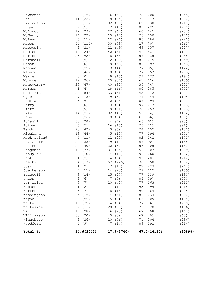| Lawrence    | (15)<br>6              | (40)<br>16         | (200)<br>78 | (255)   |
|-------------|------------------------|--------------------|-------------|---------|
| Lee         | (22)<br>11             | 18<br>(35)         | (143)<br>71 | (200)   |
| Livingston  | 6<br>(13)              | 32<br>(67)         | 62<br>(130) | (210)   |
| Logan       | 2<br>(5)               | 17<br>(48)         | 81<br>(225) | (278)   |
| McDonough   | 12<br>(29)             | 27<br>(64)         | (141)<br>60 | (234)   |
| McHenry     | (23)<br>14             | 10<br>(17)         | (130)<br>76 | (170)   |
| McLean      | 5<br>(11)              | 12<br>(26)         | 83<br>(184) | (221)   |
| Macon       | 44<br>(114)            | 30<br>(78)         | (70)<br>27  | (262)   |
| Macoupin    | 9<br>(21)              | 22<br>(49)         | 69<br>(157) | (227)   |
| Madison     | 19<br>(24)             | (51)<br>40         | (52)<br>41  | (127)   |
| Marion      | 26<br>(62)             | 16<br>(38)         | 57<br>(135) | (235)   |
| Marshall    | $\mathbf{2}$<br>(5)    | 12<br>(29)         | 86<br>(215) | (249)   |
| Mason       | $\circ$<br>(0)         | 19<br>(46)         | (197)<br>81 | (243)   |
| Massac      | 20<br>(25)             | 3<br>(4)           | (95)<br>77  | (124)   |
| Menard      | 23<br>(46)             | (0)<br>0           | 77<br>(157) | (203)   |
| Mercer      | 0<br>(0)               | 8<br>(15)          | 92<br>(179) | (194)   |
| Monroe      | 19<br>(36)             | 20<br>(37)         | (116)<br>61 | (189)   |
| Montgomery  | 23<br>(47)             | 40<br>(82)         | 36<br>(74)  | (203)   |
| Morgan      | 1<br>(4)               | 19<br>(66)         | 80<br>(285) | (355)   |
| Moultrie    | 22<br>(54)             | 33<br>(81)         | 45<br>(112) | (247)   |
| Oqle        | 7<br>(13)              | 19<br>(37)         | 74<br>(144) | (194)   |
| Peoria      | 3<br>(6)               | 10<br>(23)         | (194)<br>87 | (223)   |
| Perry       | $\mathbf 0$<br>(0)     | 3<br>(6)           | 97<br>(217) | (223)   |
| Piatt       | 3<br>(9)               | 19<br>(61)         | (253)<br>78 | (323)   |
| Pike        | 14<br>(21)             | 32<br>(49)         | (84)<br>55  | (154)   |
| Pope        | 29<br>(26)             | 8<br>(7)           | (56)<br>63  | (89)    |
| Pulaski     | 30<br>(28)             | 4<br>(4)           | (61)<br>66  | (93)    |
| Putnam      | 5<br>(5)               | 16<br>(15)         | 78<br>(71)  | (91)    |
| Randolph    | 23<br>(42)             | 3<br>(5)           | 74<br>(135) | (182)   |
| Richland    | 18<br>(44)             | 5<br>(13)          | (194)<br>77 | (251)   |
| Rock Island | 6<br>(11)              | 12<br>(20)         | 82<br>(142) | (173)   |
| St. Clair   | 24<br>(33)             | (12)<br>9          | (90)<br>67  | (135)   |
| Saline      | 22<br>(40)             | 20<br>(37)         | 58<br>(105) | (182)   |
| Sangamon    | 18<br>(37)             | 31<br>(65)         | 51<br>(107) | (209)   |
| Schuyler    | 4<br>(10)              | (12)<br>4          | 92<br>(260) | (282)   |
| Scott       | (2)<br>1               | (9)<br>4           | 95<br>(201) | (212)   |
| Shelby      | (17)<br>4              | 57<br>(225)        | 38<br>(150) | (392)   |
| Stark       | (2)<br>1               | 7<br>(17)          | (223)<br>92 | (242)   |
| Stephenson  | $\overline{7}$<br>(11) | (23)<br>14         | 79 (125)    | (159)   |
| Tazewell    | 8 (14)                 | 15 (27)            | 77 (139)    | (180)   |
| Union       | 9<br>(6)               | 7(5)               | 84 (59)     | (70)    |
| Vermilion   | 3<br>(7)               | 20<br>(42)         | 77<br>(163) | (212)   |
| Wabash      | 1<br>(2)               | 7<br>(14)          | 93<br>(199) | (215)   |
| Warren      | 3<br>(7)               | 6<br>(13)          | (184)<br>90 | (204)   |
| Washington  | 5<br>(15)              | 14 (41)            | 81<br>(234) | (290)   |
| Wayne       | 32<br>(56)             | 5<br>(9)           | 63<br>(109) | (174)   |
| White       | 19<br>(39)             | 4<br>(9)           | 77<br>(161) | (209)   |
| Whiteside   | 7<br>(13)              | 20<br>(35)         | (128)<br>73 | (176)   |
| Will        | 17<br>(28)             | (25)<br>16         | 67<br>(108) | (161)   |
| Williamson  | 33<br>(20)             | $\mathbf 0$<br>(0) | 67<br>(40)  | (60)    |
| Winnebago   | 9<br>(26)              | 20<br>(56)         | (204)<br>71 | (286)   |
| Woodford    | 4<br>(9)               | 7<br>(14)          | 89<br>(191) | (214)   |
|             |                        |                    |             |         |
| Total %:    | 14.6(3043)             | 17.9(3740)         | 67.5(14115) | (20898) |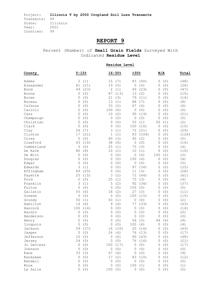# **REPORT 9**

Percent (Number) of **Small Grain Fields** Surveyed With Indicated **Residue Level** 

|              |                     |         |                     | Residue Level |        |         |              |     |       |
|--------------|---------------------|---------|---------------------|---------------|--------|---------|--------------|-----|-------|
| County       | $0 - 15%$           |         |                     | $16 - 30%$    | >30%   |         | N/A          |     | Total |
| Adams        | 2                   | (1)     | 15                  | (7)           | 83     | (40)    | 0            | (0) | (48)  |
| Alexander    | 81                  | (21)    | 19                  | (5)           | 0      | (0)     | 0            | (0) | (26)  |
| Bond         | 49                  | (23)    | 2                   | (1)           | 49     | (23)    | 0            | (0) | (47)  |
| Boone        | 0                   | (0)     | 87                  | (13)          | 13     | (2)     | 0            | (0) | (15)  |
| <b>Brown</b> | 0                   | (0)     | 21                  | (3)           | 79     | (11)    | 0            | (0) | (14)  |
| Bureau       | 0                   | (0)     | 13                  | (1)           | 88     | (7)     | 0            | (0) | (8)   |
| Calhoun      | 0                   | (0)     | 33                  | (2)           | 67     | (4)     | 0            | (0) | (6)   |
| Carroll      | 0                   | (0)     | 100                 | (6)           | 0      | (0)     | 0            | (0) | (6)   |
| Cass         | 0                   | (0)     | 10                  | (2)           | 90     | (19)    | 0            | (0) | (21)  |
| Champaign    | 0                   | (0)     | 0                   | (0)           | 0      | (0)     | 0            | (0) | (0)   |
| Christian    | 0                   | (0)     | 0                   | (0)           | 50     | (1)     | 50           | (1) | (2)   |
| Clark        | 0                   | (0)     | 0                   | (0)           | 100    | (10)    | 0            | (0) | (10)  |
| Clay         | 24                  | (7)     | 3                   | (1)           | 72     | (21)    | 0            | (0) | (29)  |
| Clinton      | 17                  | (21)    | $\mathbf 1$         | (1)           | 83     | (104)   | 0            | (0) | (126) |
| Coles        | 0                   | (0)     | 60                  | (3)           | 40     | (2)     | 0            | (0) | (5)   |
| Crawford     | 63                  | (10)    | 38                  | (6)           | 0      | (0)     | 0            | (0) | (16)  |
| Cumberland   | 0                   | (0)     | 25                  | (1)           | 75     | (3)     | 0            | (0) | (4)   |
| De Kalb      | 80                  | (8)     | 10                  | (1)           | 10     | (1)     | 0            | (0) | (10)  |
| De Witt      | 0                   | (0)     | $\mathbf 0$         | (0)           | 0      | (0)     | 100          | (2) | (2)   |
| Douglas      | 0                   | (0)     | 0                   | (0)           | 100    | (4)     | 0            | (0) | (4)   |
| Edgar        | 0                   | (0)     | 0                   | (0)           | 0      | (0)     | 0            | (0) | (0)   |
| Edwards      | 3                   | (1)     | 0                   | (0)           | 97     | (34)    | 0            | (0) | (35)  |
| Effingham    | 89                  | (25)    | 0                   | (0)           | 11     | (3)     | 0            | (0) | (28)  |
| Fayette      | 25                  | (15)    | 3                   | (2)           | 72     | (44)    | 0            | (0) | (61)  |
| Ford         | 0                   | (0)     | 25                  | (1)           | 75     | (3)     | 0            | (0) | (4)   |
| Franklin     | 3                   | (1)     | 5                   | (2)           | 92     | (34)    | 0            | (0) | (37)  |
| Fulton       | $\circ$             | (0)     | 0                   | (0)           | 100    | (5)     | 0            | (0) | (5)   |
| Gallatin     | 55                  | (6)     | 18                  | (2)           | 27     | (3)     | 0            | (0) | (11)  |
| Greene       | 0                   | (0)     | 0                   | (0)           | 100    | (15)    | 0            | (0) | (15)  |
| Grundy       | 50                  | (1)     | 50                  | (1)           | 0      | (0)     | 0            | (0) | (2)   |
| Hamilton     | 14                  | (6)     | 9                   | (4)           | 77     | (33)    | 0            | (0) | (43)  |
| Hancock      | 100                 | (14)    | 0                   | (0)           | 0      | (0)     | 0            | (0) | (14)  |
| Hardin       | 0                   | (0)     | 0                   | (0)           | 0      | (0)     | 0            | (0) | (0)   |
| Henderson    | 0                   | (0)     | 0                   | (0)           | 0      | (0)     | 0            | (0) | (0)   |
| Henry        | 0                   | (0)     | 0                   | (0)           | 56     | (5)     | 44           | (4) | (9)   |
| Iroquois     |                     | (0)     | $\mathsf{O}\xspace$ | (0)           | 100(4) |         | $\mathsf{O}$ | (0) | (4)   |
| Jackson      |                     | 59 (37) |                     | 16(10)        |        | 25 (16) | 0            | (0) | (63)  |
| Jasper       | $\mathsf{O}\xspace$ | (0)     | 24                  | (4)           | 76     | (13)    | 0            | (0) | (17)  |
| Jefferson    | 10                  | (5)     | 0                   | (0)           | 90     | (43)    | 0            | (0) | (48)  |
| Jersey       |                     | 24(5)   | 0                   | (0)           | 76     | (16)    | 0            | (0) | (21)  |
| Jo Daviess   | 0                   | (0)     | 100                 | (17)          | 0      | (0)     | 0            | (0) | (17)  |
| Johnson      | 0                   | (0)     | 0                   | (0)           | 0      | (0)     | 0            | (0) | (0)   |
| Kane         | 33                  | (3)     | 67                  | (6)           | 0      | (0)     | 0            | (0) | (9)   |
| Kankakee     | $\mathbb O$         | (0)     | 17                  | (2)           | 83     | (10)    | 0            | (0) | (12)  |
| Kendall      | 0                   | (0)     | 0                   | (0)           | 0      | (0)     | 0            | (0) | (0)   |
| Knox         | 0                   | (0)     | 0                   | (0)           | 100    | (1)     | 0            | (0) | (1)   |
| La Salle     | 0                   | (0)     | 100                 | (2)           | 0      | (0)     | 0            | (0) | (2)   |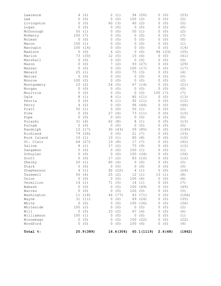| Lawrence<br>Lee | 4<br>0         | (2)<br>(0) | 2<br>$\circ$ | (1)<br>(0) | 94<br>100    | (50)<br>(2) | 0<br>0 | (0)<br>(0) | (53)<br>(2) |
|-----------------|----------------|------------|--------------|------------|--------------|-------------|--------|------------|-------------|
| Livingston      | 0              | (0)        | 60           | (3)        | 40           | (2)         | 0      | (0)        | (5)         |
| Logan           | 0              | (0)        | $\circ$      | (0)        | 0            | (0)         | 0      | (0)        | (0)         |
| McDonough       | 50             | (1)        | $\circ$      | (0)        | 50           | (1)         | 0      | (0)        | (2)         |
| McHenry         | 100            | (7)        | 0            | (0)        | 0            | (0)         | 0      | (0)        | (7)         |
| McLean          | 0              | (0)        | 0            | (0)        | 0            | (0)         | 0      | (0)        | (0)         |
| Macon           | 100            | (1)        | 0            | (0)        | $\mathbf{0}$ | (0)         | 0      | (0)        | (1)         |
| Macoupin        | 100            | (14)       | 0            | (0)        | 0            | (0)         | 0      | (0)        | (14)        |
| Madison         | 0              | (0)        | 6            | (2)        | 0            | (0)         | 94     | (33)       | (35)        |
| Marion          | 73             | (30)       | 12           | (5)        | 15           | (6)         | 0      | (0)        | (41)        |
| Marshall        | 0              | (0)        | $\circ$      | (0)        | $\mathbb O$  | (0)         | 0      | (0)        | (0)         |
| Mason           | 0              | (0)        | 7            | (2)        | 93           | (27)        | 0      | (0)        | (29)        |
| Massac          | 0              | (0)        | 0            | (0)        | 100          | (17)        | 0      | (0)        | (17)        |
| Menard          | 25             | (1)        | 0            | (0)        | 75           | (3)         | 0      | (0)        | (4)         |
| Mercer          | 0              | (0)        | $\circ$      | (0)        | 0            | (0)         | 0      | (0)        | (0)         |
| Monroe          | 100            | (2)        | 0            | (0)        | $\mathbf{0}$ | (0)         | 0      | (0)        | (2)         |
| Montgomery      | 10             | (2)        | 24           | (5)        | 67           | (14)        | 0      | (0)        | (21)        |
| Morgan          | 0              | (0)        | $\circ$      | (0)        | 0            | (0)         | 0      | (0)        | (0)         |
| Moultrie        | 0              | (0)        | $\circ$      | (0)        | 0            | (0)         | 100    | (7)        | (7)         |
| Ogle            | 8              | (1)        | 8            | (1)        | 85           | (11)        | 0      | (0)        | (13)        |
| Peoria          | 0              | (0)        | 8            | (1)        | 92           | (11)        | 0      | (0)        | (12)        |
| Perry           | 4              | (2)        | 0            | (0)        | 96           | (44)        | 0      | (0)        | (46)        |
| Piatt           | 50             | (1)        | $\circ$      | (0)        | 50           | (1)         | 0      | (0)        | (2)         |
| Pike            | 0              | (0)        | 27           | (4)        | 73           | (11)        | 0      | (0)        | (15)        |
| Pope            | 0              | (0)        | $\circ$      | (0)        | 0            | (0)         | 0      | (0)        | (0)         |
| Pulaski         | 31             | (4)        | 62           | (8)        | 8            | (1)         | 0      | (0)        | (13)        |
| Putnam          | 0              | (0)        | $\circ$      | (0)        | 0            | (0)         | 0      | (0)        | (0)         |
| Randolph        | 12             | (17)       | 30           | (43)       | 59           | (85)        | 0      | (0)        | (145)       |
| Richland        | 79             | (26)       | $\circ$      | (0)        | 21           | (7)         | 0      | (0)        | (33)        |
| Rock Island     | 10             | (1)        | 10           | (1)        | 80           | (8)         | 0      | (0)        | (10)        |
| St. Clair       | 64             | (27)       | 19           | (8)        | 17           | (7)         | 0      | (0)        | (42)        |
| Saline          | 8              | (1)        | 17           | (2)        | 75           | (9)         | 0      | (0)        | (12)        |
| Sangamon        | 0              | (0)        | 0            | (0)        | 100          | (1)         | 0      | (0)        | (1)         |
| Schuyler        | 0              | (0)        | $\circ$      | (0)        | 100          | (34)        | 0      | (0)        | (34)        |
| Scott           | 0              | (0)        | 17           | (2)        | 83           | (10)        | 0      | (0)        | (12)        |
| Shelby          | 20             | (1)        | 80           | (4)        | $\mathbf 0$  | (0)         | 0      | (0)        | (5)         |
| Stark           | 0              | (0)        | $\circ$      | (0)        | 0            | (0)         | 0      | (0)        | (0)         |
| Stephenson      | 4              | (1)        | 92           | (22)       | 4            | (1)         | 0      | (0)        | (24)        |
| Tazewell        |                | 50(4)      |              | 25(2)      |              | 12(1)       |        | 13(1)      | (8)         |
| Union           |                | 0(0)       | 0            | (0)        | 100(6)       |             |        | 0(0)       | (6)         |
| Vermilion       |                | 14(1)      | 71           | (5)        |              | 14(1)       |        | 0(0)       | (7)         |
| Wabash          | 0              | (0)        | 0            | (0)        |              | 100 (49)    | 0      | (0)        | (49)        |
| Warren          | 0              | (0)        | 0            | (0)        | 100(5)       |             | 0      | (0)        | (5)         |
| Washington      | 11             | (18)       | 46           | (77)       |              | 43 (71)     | 0      | (0)        | (166)       |
| Wayne           | 31             | (11)       | 0            | (0)        |              | 69 (24)     | 0      | (0)        | (35)        |
| White           | $\circledcirc$ | (0)        | 0            | (0)        |              | 100 (36)    | 0      | (0)        | (36)        |
| Whiteside       | 100            | (2)        | 0            | (0)        | $\circ$      | (0)         | 0      | (0)        | (2)         |
| Will            | 0              | (0)        | 33           | (2)        |              | 67 (4)      | 0      | (0)        | (6)         |
| Williamson      | 100            | (1)        | $\circ$      | (0)        |              | 0 (0)       | 0      | (0)        | (1)         |
| Winnebago       | 0              | (0)        | 0            | (0)        |              | 100 (22)    | 0      | (0)        | (22)        |
| Woodford        | 0              | (0)        | 0            | (0)        | 100(4)       |             | 0      | (0)        | (4)         |
| Total %:        |                | 20.9(389)  |              | 16.4 (306) |              | 60.1(1119)  |        | 2.6(48)    | (1862)      |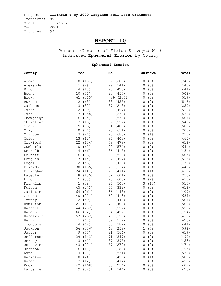# **REPORT 10**

Percent (Number) of Fields Surveyed With Indicated **Ephemeral Erosion** By County

#### **Ephemeral Erosion**

| Adams<br>(131)<br>82<br>(609)<br>0<br>(0)<br>18<br>(740)<br>(2)<br>99<br>(141)<br>(0)<br>Alexander<br>1<br>0<br>(143)<br>4<br>(18)<br>96<br>(426)<br>(0)<br>Bond<br>0<br>(444)<br>10<br>(51)<br>90<br>(457)<br>(0)<br>(508)<br>0<br>Boone<br>61<br>(315)<br>(204)<br>(0)<br>(519)<br>39<br>0<br>Brown<br>12<br>(63)<br>(455)<br>(0)<br>(518)<br>88<br>0<br><b>Bureau</b><br>(0)<br>Calhoun<br>13<br>(32)<br>87<br>(218)<br>(250)<br>0<br>12<br>(69)<br>(0)<br>Carroll<br>88<br>(497)<br>0<br>(566)<br>7<br>(0)<br>Cass<br>(358)<br>43<br>(274)<br>0<br>(632)<br>(0)<br>Champaign<br>6<br>(34)<br>94<br>(573)<br>0<br>(607)<br>Christian<br>3<br>(15)<br>97<br>(0)<br>(527)<br>(542)<br>0<br>19<br>(96)<br>$8\,1$<br>(0)<br>Clark<br>(405)<br>(501)<br>0<br>10<br>90<br>(631)<br>(0)<br>Clay<br>(74)<br>0<br>(705)<br>Clinton<br>3<br>(24)<br>96<br>(685)<br>(1)<br>(710)<br>0<br>Coles<br>13<br>(62)<br>(0)<br>87<br>(403)<br>0<br>(465)<br>(0)<br>Crawford<br>22<br>(134)<br>78<br>(478)<br>0<br>(612)<br>(67)<br>(0)<br>Cumberland<br>10<br>90<br>(574)<br>0<br>(641)<br>De Kalb<br>14<br>(66)<br>86<br>(415)<br>(0)<br>0<br>(481)<br>6<br>(36)<br>(0)<br>De Witt<br>94<br>(569)<br>0<br>(605)<br>3<br>(2)<br>Douglas<br>(14)<br>97<br>(497)<br>(513)<br>0<br>12<br>(56)<br>(423)<br>(0)<br>8<br>(479)<br>Edgar<br>0<br>Edwards<br>30<br>(135)<br>70<br>(314)<br>(0)<br>0<br>(449)<br>(147)<br>76<br>(471)<br>(1)<br>(619)<br>Effingham<br>24<br>0<br>18<br>(135)<br>82<br>(601)<br>(0)<br>(736)<br>0<br>Fayette<br>5<br>95<br>(2)<br>Ford<br>(33)<br>(603)<br>(638)<br>0<br>1<br>Franklin<br>(3)<br>97<br>(500)<br>3<br>(13)<br>(516)<br>Fulton<br>45<br>55<br>(0)<br>(273)<br>(339)<br>0<br>(612)<br>36<br>(0)<br>Gallatin<br>64<br>(261)<br>(148)<br>0<br>(409)<br>60<br>(0)<br>Greene<br>40<br>(271)<br>(413)<br>0<br>(684)<br>12<br>(59)<br>88<br>(0)<br>Grundy<br>(448)<br>(507)<br>0<br>Hamilton<br>21<br>(107)<br>79<br>(0)<br>(402)<br>0<br>(509)<br>(232)<br>56<br>(297)<br>(0)<br>(529)<br>Hancock<br>44<br>0<br>66<br>(82)<br>34<br>(42)<br>(0)<br>(124)<br>Hardin<br>0<br>(0)<br>Henderson<br>57<br>(262)<br>43<br>(199)<br>(461)<br>0 |
|-------------------------------------------------------------------------------------------------------------------------------------------------------------------------------------------------------------------------------------------------------------------------------------------------------------------------------------------------------------------------------------------------------------------------------------------------------------------------------------------------------------------------------------------------------------------------------------------------------------------------------------------------------------------------------------------------------------------------------------------------------------------------------------------------------------------------------------------------------------------------------------------------------------------------------------------------------------------------------------------------------------------------------------------------------------------------------------------------------------------------------------------------------------------------------------------------------------------------------------------------------------------------------------------------------------------------------------------------------------------------------------------------------------------------------------------------------------------------------------------------------------------------------------------------------------------------------------------------------------------------------------------------------------------------------------------------------------------------------------------------------------------------------------------------------------------------------------------------------------------------------------------------------------------------------------------------------------------------------------------------------------------------------------------------------------------------------------------------------------------------------------------------------|
|                                                                                                                                                                                                                                                                                                                                                                                                                                                                                                                                                                                                                                                                                                                                                                                                                                                                                                                                                                                                                                                                                                                                                                                                                                                                                                                                                                                                                                                                                                                                                                                                                                                                                                                                                                                                                                                                                                                                                                                                                                                                                                                                                       |
|                                                                                                                                                                                                                                                                                                                                                                                                                                                                                                                                                                                                                                                                                                                                                                                                                                                                                                                                                                                                                                                                                                                                                                                                                                                                                                                                                                                                                                                                                                                                                                                                                                                                                                                                                                                                                                                                                                                                                                                                                                                                                                                                                       |
|                                                                                                                                                                                                                                                                                                                                                                                                                                                                                                                                                                                                                                                                                                                                                                                                                                                                                                                                                                                                                                                                                                                                                                                                                                                                                                                                                                                                                                                                                                                                                                                                                                                                                                                                                                                                                                                                                                                                                                                                                                                                                                                                                       |
|                                                                                                                                                                                                                                                                                                                                                                                                                                                                                                                                                                                                                                                                                                                                                                                                                                                                                                                                                                                                                                                                                                                                                                                                                                                                                                                                                                                                                                                                                                                                                                                                                                                                                                                                                                                                                                                                                                                                                                                                                                                                                                                                                       |
|                                                                                                                                                                                                                                                                                                                                                                                                                                                                                                                                                                                                                                                                                                                                                                                                                                                                                                                                                                                                                                                                                                                                                                                                                                                                                                                                                                                                                                                                                                                                                                                                                                                                                                                                                                                                                                                                                                                                                                                                                                                                                                                                                       |
|                                                                                                                                                                                                                                                                                                                                                                                                                                                                                                                                                                                                                                                                                                                                                                                                                                                                                                                                                                                                                                                                                                                                                                                                                                                                                                                                                                                                                                                                                                                                                                                                                                                                                                                                                                                                                                                                                                                                                                                                                                                                                                                                                       |
|                                                                                                                                                                                                                                                                                                                                                                                                                                                                                                                                                                                                                                                                                                                                                                                                                                                                                                                                                                                                                                                                                                                                                                                                                                                                                                                                                                                                                                                                                                                                                                                                                                                                                                                                                                                                                                                                                                                                                                                                                                                                                                                                                       |
|                                                                                                                                                                                                                                                                                                                                                                                                                                                                                                                                                                                                                                                                                                                                                                                                                                                                                                                                                                                                                                                                                                                                                                                                                                                                                                                                                                                                                                                                                                                                                                                                                                                                                                                                                                                                                                                                                                                                                                                                                                                                                                                                                       |
|                                                                                                                                                                                                                                                                                                                                                                                                                                                                                                                                                                                                                                                                                                                                                                                                                                                                                                                                                                                                                                                                                                                                                                                                                                                                                                                                                                                                                                                                                                                                                                                                                                                                                                                                                                                                                                                                                                                                                                                                                                                                                                                                                       |
|                                                                                                                                                                                                                                                                                                                                                                                                                                                                                                                                                                                                                                                                                                                                                                                                                                                                                                                                                                                                                                                                                                                                                                                                                                                                                                                                                                                                                                                                                                                                                                                                                                                                                                                                                                                                                                                                                                                                                                                                                                                                                                                                                       |
|                                                                                                                                                                                                                                                                                                                                                                                                                                                                                                                                                                                                                                                                                                                                                                                                                                                                                                                                                                                                                                                                                                                                                                                                                                                                                                                                                                                                                                                                                                                                                                                                                                                                                                                                                                                                                                                                                                                                                                                                                                                                                                                                                       |
|                                                                                                                                                                                                                                                                                                                                                                                                                                                                                                                                                                                                                                                                                                                                                                                                                                                                                                                                                                                                                                                                                                                                                                                                                                                                                                                                                                                                                                                                                                                                                                                                                                                                                                                                                                                                                                                                                                                                                                                                                                                                                                                                                       |
|                                                                                                                                                                                                                                                                                                                                                                                                                                                                                                                                                                                                                                                                                                                                                                                                                                                                                                                                                                                                                                                                                                                                                                                                                                                                                                                                                                                                                                                                                                                                                                                                                                                                                                                                                                                                                                                                                                                                                                                                                                                                                                                                                       |
|                                                                                                                                                                                                                                                                                                                                                                                                                                                                                                                                                                                                                                                                                                                                                                                                                                                                                                                                                                                                                                                                                                                                                                                                                                                                                                                                                                                                                                                                                                                                                                                                                                                                                                                                                                                                                                                                                                                                                                                                                                                                                                                                                       |
|                                                                                                                                                                                                                                                                                                                                                                                                                                                                                                                                                                                                                                                                                                                                                                                                                                                                                                                                                                                                                                                                                                                                                                                                                                                                                                                                                                                                                                                                                                                                                                                                                                                                                                                                                                                                                                                                                                                                                                                                                                                                                                                                                       |
|                                                                                                                                                                                                                                                                                                                                                                                                                                                                                                                                                                                                                                                                                                                                                                                                                                                                                                                                                                                                                                                                                                                                                                                                                                                                                                                                                                                                                                                                                                                                                                                                                                                                                                                                                                                                                                                                                                                                                                                                                                                                                                                                                       |
|                                                                                                                                                                                                                                                                                                                                                                                                                                                                                                                                                                                                                                                                                                                                                                                                                                                                                                                                                                                                                                                                                                                                                                                                                                                                                                                                                                                                                                                                                                                                                                                                                                                                                                                                                                                                                                                                                                                                                                                                                                                                                                                                                       |
|                                                                                                                                                                                                                                                                                                                                                                                                                                                                                                                                                                                                                                                                                                                                                                                                                                                                                                                                                                                                                                                                                                                                                                                                                                                                                                                                                                                                                                                                                                                                                                                                                                                                                                                                                                                                                                                                                                                                                                                                                                                                                                                                                       |
|                                                                                                                                                                                                                                                                                                                                                                                                                                                                                                                                                                                                                                                                                                                                                                                                                                                                                                                                                                                                                                                                                                                                                                                                                                                                                                                                                                                                                                                                                                                                                                                                                                                                                                                                                                                                                                                                                                                                                                                                                                                                                                                                                       |
|                                                                                                                                                                                                                                                                                                                                                                                                                                                                                                                                                                                                                                                                                                                                                                                                                                                                                                                                                                                                                                                                                                                                                                                                                                                                                                                                                                                                                                                                                                                                                                                                                                                                                                                                                                                                                                                                                                                                                                                                                                                                                                                                                       |
|                                                                                                                                                                                                                                                                                                                                                                                                                                                                                                                                                                                                                                                                                                                                                                                                                                                                                                                                                                                                                                                                                                                                                                                                                                                                                                                                                                                                                                                                                                                                                                                                                                                                                                                                                                                                                                                                                                                                                                                                                                                                                                                                                       |
|                                                                                                                                                                                                                                                                                                                                                                                                                                                                                                                                                                                                                                                                                                                                                                                                                                                                                                                                                                                                                                                                                                                                                                                                                                                                                                                                                                                                                                                                                                                                                                                                                                                                                                                                                                                                                                                                                                                                                                                                                                                                                                                                                       |
|                                                                                                                                                                                                                                                                                                                                                                                                                                                                                                                                                                                                                                                                                                                                                                                                                                                                                                                                                                                                                                                                                                                                                                                                                                                                                                                                                                                                                                                                                                                                                                                                                                                                                                                                                                                                                                                                                                                                                                                                                                                                                                                                                       |
|                                                                                                                                                                                                                                                                                                                                                                                                                                                                                                                                                                                                                                                                                                                                                                                                                                                                                                                                                                                                                                                                                                                                                                                                                                                                                                                                                                                                                                                                                                                                                                                                                                                                                                                                                                                                                                                                                                                                                                                                                                                                                                                                                       |
|                                                                                                                                                                                                                                                                                                                                                                                                                                                                                                                                                                                                                                                                                                                                                                                                                                                                                                                                                                                                                                                                                                                                                                                                                                                                                                                                                                                                                                                                                                                                                                                                                                                                                                                                                                                                                                                                                                                                                                                                                                                                                                                                                       |
|                                                                                                                                                                                                                                                                                                                                                                                                                                                                                                                                                                                                                                                                                                                                                                                                                                                                                                                                                                                                                                                                                                                                                                                                                                                                                                                                                                                                                                                                                                                                                                                                                                                                                                                                                                                                                                                                                                                                                                                                                                                                                                                                                       |
|                                                                                                                                                                                                                                                                                                                                                                                                                                                                                                                                                                                                                                                                                                                                                                                                                                                                                                                                                                                                                                                                                                                                                                                                                                                                                                                                                                                                                                                                                                                                                                                                                                                                                                                                                                                                                                                                                                                                                                                                                                                                                                                                                       |
|                                                                                                                                                                                                                                                                                                                                                                                                                                                                                                                                                                                                                                                                                                                                                                                                                                                                                                                                                                                                                                                                                                                                                                                                                                                                                                                                                                                                                                                                                                                                                                                                                                                                                                                                                                                                                                                                                                                                                                                                                                                                                                                                                       |
|                                                                                                                                                                                                                                                                                                                                                                                                                                                                                                                                                                                                                                                                                                                                                                                                                                                                                                                                                                                                                                                                                                                                                                                                                                                                                                                                                                                                                                                                                                                                                                                                                                                                                                                                                                                                                                                                                                                                                                                                                                                                                                                                                       |
|                                                                                                                                                                                                                                                                                                                                                                                                                                                                                                                                                                                                                                                                                                                                                                                                                                                                                                                                                                                                                                                                                                                                                                                                                                                                                                                                                                                                                                                                                                                                                                                                                                                                                                                                                                                                                                                                                                                                                                                                                                                                                                                                                       |
|                                                                                                                                                                                                                                                                                                                                                                                                                                                                                                                                                                                                                                                                                                                                                                                                                                                                                                                                                                                                                                                                                                                                                                                                                                                                                                                                                                                                                                                                                                                                                                                                                                                                                                                                                                                                                                                                                                                                                                                                                                                                                                                                                       |
|                                                                                                                                                                                                                                                                                                                                                                                                                                                                                                                                                                                                                                                                                                                                                                                                                                                                                                                                                                                                                                                                                                                                                                                                                                                                                                                                                                                                                                                                                                                                                                                                                                                                                                                                                                                                                                                                                                                                                                                                                                                                                                                                                       |
|                                                                                                                                                                                                                                                                                                                                                                                                                                                                                                                                                                                                                                                                                                                                                                                                                                                                                                                                                                                                                                                                                                                                                                                                                                                                                                                                                                                                                                                                                                                                                                                                                                                                                                                                                                                                                                                                                                                                                                                                                                                                                                                                                       |
|                                                                                                                                                                                                                                                                                                                                                                                                                                                                                                                                                                                                                                                                                                                                                                                                                                                                                                                                                                                                                                                                                                                                                                                                                                                                                                                                                                                                                                                                                                                                                                                                                                                                                                                                                                                                                                                                                                                                                                                                                                                                                                                                                       |
| 11<br>(67)<br>89<br>(559)<br>(0)<br>(626)<br>0<br>Henry                                                                                                                                                                                                                                                                                                                                                                                                                                                                                                                                                                                                                                                                                                                                                                                                                                                                                                                                                                                                                                                                                                                                                                                                                                                                                                                                                                                                                                                                                                                                                                                                                                                                                                                                                                                                                                                                                                                                                                                                                                                                                               |
| Iroquois<br>14<br>(62)<br>86<br>(382)<br>(0)<br>0<br>(444)                                                                                                                                                                                                                                                                                                                                                                                                                                                                                                                                                                                                                                                                                                                                                                                                                                                                                                                                                                                                                                                                                                                                                                                                                                                                                                                                                                                                                                                                                                                                                                                                                                                                                                                                                                                                                                                                                                                                                                                                                                                                                            |
| 56<br>(336)<br>43<br>(4)<br>Jackson<br>(258)<br>$\mathbf 1$<br>(598)                                                                                                                                                                                                                                                                                                                                                                                                                                                                                                                                                                                                                                                                                                                                                                                                                                                                                                                                                                                                                                                                                                                                                                                                                                                                                                                                                                                                                                                                                                                                                                                                                                                                                                                                                                                                                                                                                                                                                                                                                                                                                  |
| 91 (564)<br>0 (0)<br>(619)<br>9(55)<br>Jasper                                                                                                                                                                                                                                                                                                                                                                                                                                                                                                                                                                                                                                                                                                                                                                                                                                                                                                                                                                                                                                                                                                                                                                                                                                                                                                                                                                                                                                                                                                                                                                                                                                                                                                                                                                                                                                                                                                                                                                                                                                                                                                         |
| 29 (143)<br>71 (347)<br>0(0)<br>(490)<br>Jefferson                                                                                                                                                                                                                                                                                                                                                                                                                                                                                                                                                                                                                                                                                                                                                                                                                                                                                                                                                                                                                                                                                                                                                                                                                                                                                                                                                                                                                                                                                                                                                                                                                                                                                                                                                                                                                                                                                                                                                                                                                                                                                                    |
| (61)<br>87 (395)<br>13<br>(0)<br>(456)<br>Jersey<br>0                                                                                                                                                                                                                                                                                                                                                                                                                                                                                                                                                                                                                                                                                                                                                                                                                                                                                                                                                                                                                                                                                                                                                                                                                                                                                                                                                                                                                                                                                                                                                                                                                                                                                                                                                                                                                                                                                                                                                                                                                                                                                                 |
| Jo Daviess<br>43<br>(201)<br>57 (270)<br>(0)<br>0<br>(471)                                                                                                                                                                                                                                                                                                                                                                                                                                                                                                                                                                                                                                                                                                                                                                                                                                                                                                                                                                                                                                                                                                                                                                                                                                                                                                                                                                                                                                                                                                                                                                                                                                                                                                                                                                                                                                                                                                                                                                                                                                                                                            |
| 94 (184)<br>Johnson<br>6<br>(11)<br>(0)<br>(195)<br>0                                                                                                                                                                                                                                                                                                                                                                                                                                                                                                                                                                                                                                                                                                                                                                                                                                                                                                                                                                                                                                                                                                                                                                                                                                                                                                                                                                                                                                                                                                                                                                                                                                                                                                                                                                                                                                                                                                                                                                                                                                                                                                 |
| (20)<br>96 (531)<br>(0)<br>(551)<br>Kane<br>4<br>0                                                                                                                                                                                                                                                                                                                                                                                                                                                                                                                                                                                                                                                                                                                                                                                                                                                                                                                                                                                                                                                                                                                                                                                                                                                                                                                                                                                                                                                                                                                                                                                                                                                                                                                                                                                                                                                                                                                                                                                                                                                                                                    |
| Kankakee<br>(2)<br>99 (499)<br>(502)<br>0<br>(1)<br>0                                                                                                                                                                                                                                                                                                                                                                                                                                                                                                                                                                                                                                                                                                                                                                                                                                                                                                                                                                                                                                                                                                                                                                                                                                                                                                                                                                                                                                                                                                                                                                                                                                                                                                                                                                                                                                                                                                                                                                                                                                                                                                 |
| Kendall<br>2<br>(12)<br>(6)<br>96<br>(474)<br>1<br>(492)                                                                                                                                                                                                                                                                                                                                                                                                                                                                                                                                                                                                                                                                                                                                                                                                                                                                                                                                                                                                                                                                                                                                                                                                                                                                                                                                                                                                                                                                                                                                                                                                                                                                                                                                                                                                                                                                                                                                                                                                                                                                                              |
| 42<br>(168)<br>58<br>(0)<br>Knox<br>(234)<br>(402)<br>0                                                                                                                                                                                                                                                                                                                                                                                                                                                                                                                                                                                                                                                                                                                                                                                                                                                                                                                                                                                                                                                                                                                                                                                                                                                                                                                                                                                                                                                                                                                                                                                                                                                                                                                                                                                                                                                                                                                                                                                                                                                                                               |
| La Salle<br>19 (82)<br>81<br>(344)<br>(426)<br>0(0)                                                                                                                                                                                                                                                                                                                                                                                                                                                                                                                                                                                                                                                                                                                                                                                                                                                                                                                                                                                                                                                                                                                                                                                                                                                                                                                                                                                                                                                                                                                                                                                                                                                                                                                                                                                                                                                                                                                                                                                                                                                                                                   |